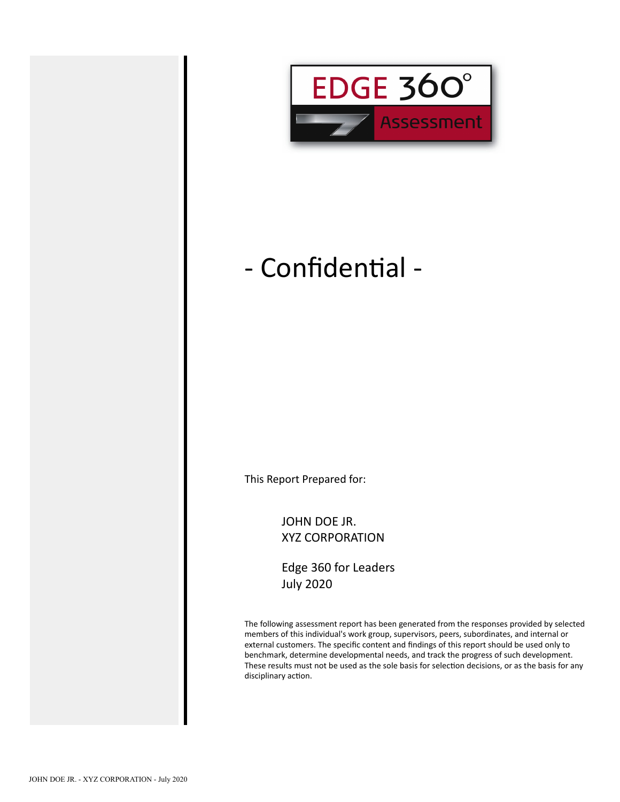

## - Confidential -

This Report Prepared for:

JOHN DOE JR. XYZ CORPORATION

Edge 360 for Leaders July 2020

The following assessment report has been generated from the responses provided by selected members of this individual's work group, supervisors, peers, subordinates, and internal or external customers. The specific content and findings of this report should be used only to benchmark, determine developmental needs, and track the progress of such development. These results must not be used as the sole basis for selection decisions, or as the basis for any disciplinary action.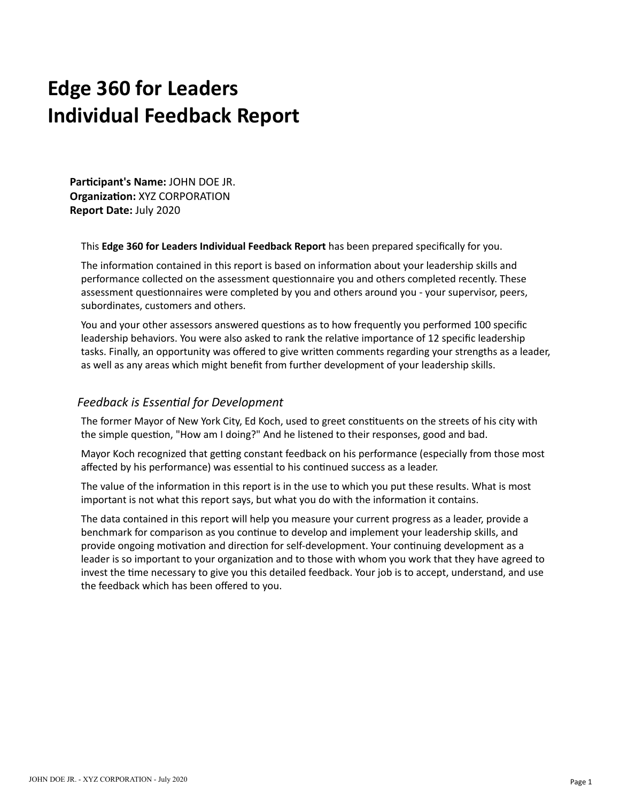## **Edge 360 for Leaders Individual Feedback Report**

**Parcipant's Name:** JOHN DOE JR. **Organization: XYZ CORPORATION Report Date:** July 2020

This **Edge 360 for Leaders Individual Feedback Report** has been prepared specifically for you.

The information contained in this report is based on information about your leadership skills and performance collected on the assessment questionnaire you and others completed recently. These assessment questionnaires were completed by you and others around you - your supervisor, peers, subordinates, customers and others.

You and your other assessors answered questions as to how frequently you performed 100 specific leadership behaviors. You were also asked to rank the relative importance of 12 specific leadership tasks. Finally, an opportunity was offered to give written comments regarding your strengths as a leader, as well as any areas which might benefit from further development of your leadership skills.

#### **Feedback is Essential for Development**

The former Mayor of New York City, Ed Koch, used to greet constituents on the streets of his city with the simple question, "How am I doing?" And he listened to their responses, good and bad.

Mayor Koch recognized that getting constant feedback on his performance (especially from those most affected by his performance) was essential to his continued success as a leader.

The value of the information in this report is in the use to which you put these results. What is most important is not what this report says, but what you do with the information it contains.

The data contained in this report will help you measure your current progress as a leader, provide a benchmark for comparison as you continue to develop and implement your leadership skills, and provide ongoing motivation and direction for self-development. Your continuing development as a leader is so important to your organization and to those with whom you work that they have agreed to invest the time necessary to give you this detailed feedback. Your job is to accept, understand, and use the feedback which has been offered to you.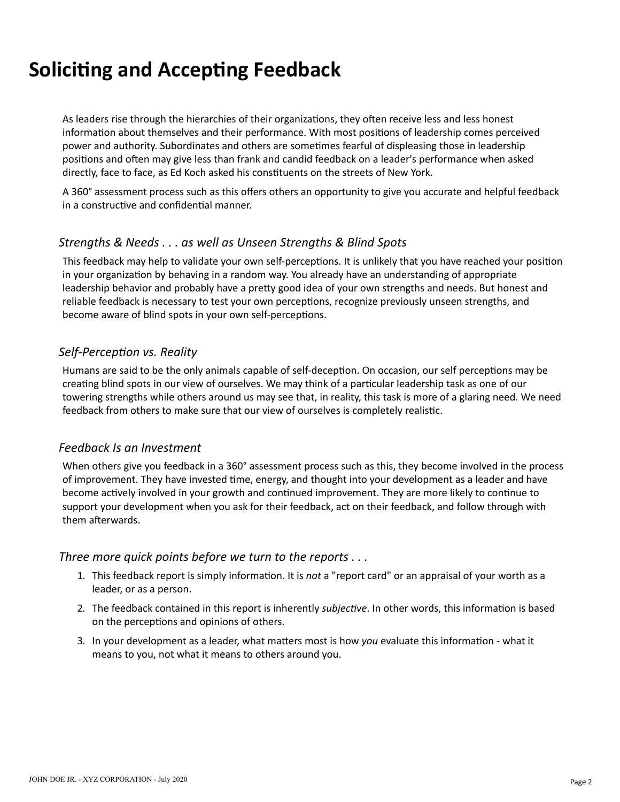## **Soliciting and Accepting Feedback**

As leaders rise through the hierarchies of their organizations, they often receive less and less honest information about themselves and their performance. With most positions of leadership comes perceived power and authority. Subordinates and others are sometimes fearful of displeasing those in leadership positions and often may give less than frank and candid feedback on a leader's performance when asked directly, face to face, as Ed Koch asked his constituents on the streets of New York.

A 360° assessment process such as this offers others an opportunity to give you accurate and helpful feedback in a constructive and confidential manner.

#### *Strengths & Needs . . . as well as Unseen Strengths & Blind Spots*

This feedback may help to validate your own self-perceptions. It is unlikely that you have reached your position in your organization by behaving in a random way. You already have an understanding of appropriate leadership behavior and probably have a pretty good idea of your own strengths and needs. But honest and reliable feedback is necessary to test your own perceptions, recognize previously unseen strengths, and become aware of blind spots in your own self-perceptions.

#### **Self-Perception vs. Reality**

Humans are said to be the only animals capable of self-deception. On occasion, our self perceptions may be creating blind spots in our view of ourselves. We may think of a particular leadership task as one of our towering strengths while others around us may see that, in reality, this task is more of a glaring need. We need feedback from others to make sure that our view of ourselves is completely realistic.

#### *Feedback Is an Investment*

When others give you feedback in a 360° assessment process such as this, they become involved in the process of improvement. They have invested time, energy, and thought into your development as a leader and have become actively involved in your growth and continued improvement. They are more likely to continue to support your development when you ask for their feedback, act on their feedback, and follow through with them afterwards.

#### *Three more quick points before we turn to the reports . . .*

- 1. This feedback report is simply information. It is *not* a "report card" or an appraisal of your worth as a leader, or as a person.
- 2. The feedback contained in this report is inherently *subjective*. In other words, this information is based on the perceptions and opinions of others.
- 3. In your development as a leader, what matters most is how *you* evaluate this information what it means to you, not what it means to others around you.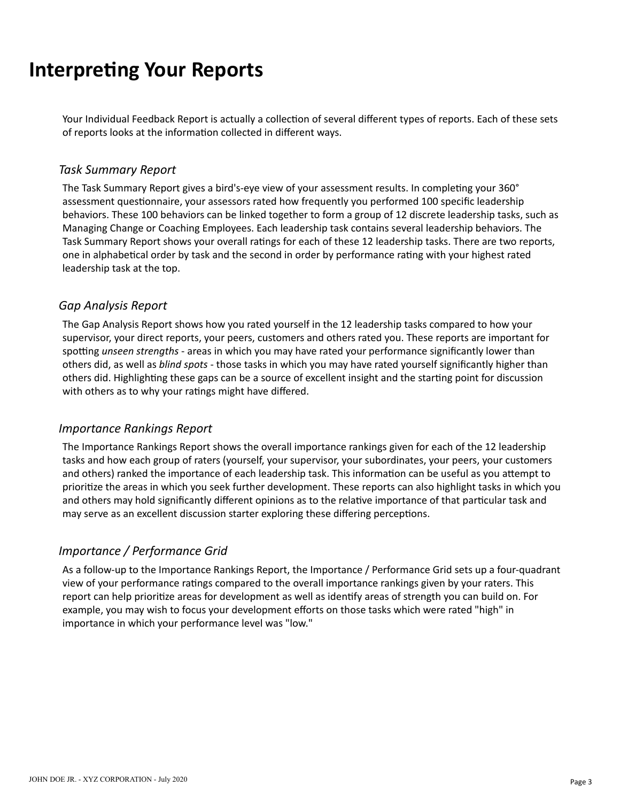## **Interpreting Your Reports**

Your Individual Feedback Report is actually a collection of several different types of reports. Each of these sets of reports looks at the information collected in different ways.

#### *Task Summary Report*

The Task Summary Report gives a bird's-eye view of your assessment results. In completing your 360° assessment questionnaire, your assessors rated how frequently you performed 100 specific leadership behaviors. These 100 behaviors can be linked together to form a group of 12 discrete leadership tasks, such as Managing Change or Coaching Employees. Each leadership task contains several leadership behaviors. The Task Summary Report shows your overall ratings for each of these 12 leadership tasks. There are two reports, one in alphabetical order by task and the second in order by performance rating with your highest rated leadership task at the top.

#### *Gap Analysis Report*

The Gap Analysis Report shows how you rated yourself in the 12 leadership tasks compared to how your supervisor, your direct reports, your peers, customers and others rated you. These reports are important for spotting *unseen strengths* - areas in which you may have rated your performance significantly lower than others did, as well as *blind spots* - those tasks in which you may have rated yourself significantly higher than others did. Highlighting these gaps can be a source of excellent insight and the starting point for discussion with others as to why your ratings might have differed.

#### *Importance Rankings Report*

The Importance Rankings Report shows the overall importance rankings given for each of the 12 leadership tasks and how each group of raters (yourself, your supervisor, your subordinates, your peers, your customers and others) ranked the importance of each leadership task. This information can be useful as you attempt to prioritize the areas in which you seek further development. These reports can also highlight tasks in which you and others may hold significantly different opinions as to the relative importance of that particular task and may serve as an excellent discussion starter exploring these differing perceptions.

#### *Importance / Performance Grid*

As a follow-up to the Importance Rankings Report, the Importance / Performance Grid sets up a four-quadrant view of your performance ratings compared to the overall importance rankings given by your raters. This report can help prioritize areas for development as well as identify areas of strength you can build on. For example, you may wish to focus your development efforts on those tasks which were rated "high" in importance in which your performance level was "low."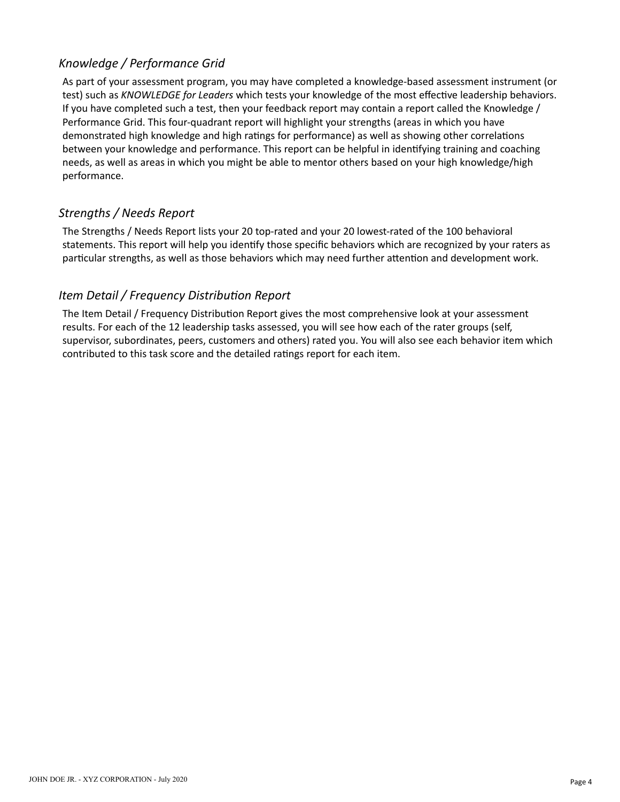As part of your assessment program, you may have completed a knowledge-based assessment instrument (or test) such as *KNOWLEDGE for Leaders* which tests your knowledge of the most effective leadership behaviors. If you have completed such a test, then your feedback report may contain a report called the Knowledge / Performance Grid. This four-quadrant report will highlight your strengths (areas in which you have demonstrated high knowledge and high ratings for performance) as well as showing other correlations between your knowledge and performance. This report can be helpful in idenfying training and coaching needs, as well as areas in which you might be able to mentor others based on your high knowledge/high performance.

#### *Strengths / Needs Report*

The Strengths / Needs Report lists your 20 top-rated and your 20 lowest-rated of the 100 behavioral statements. This report will help you identify those specific behaviors which are recognized by your raters as particular strengths, as well as those behaviors which may need further attention and development work.

#### *Item Detail / Frequency Distribution Report*

The Item Detail / Frequency Distribution Report gives the most comprehensive look at your assessment results. For each of the 12 leadership tasks assessed, you will see how each of the rater groups (self, supervisor, subordinates, peers, customers and others) rated you. You will also see each behavior item which contributed to this task score and the detailed ratings report for each item.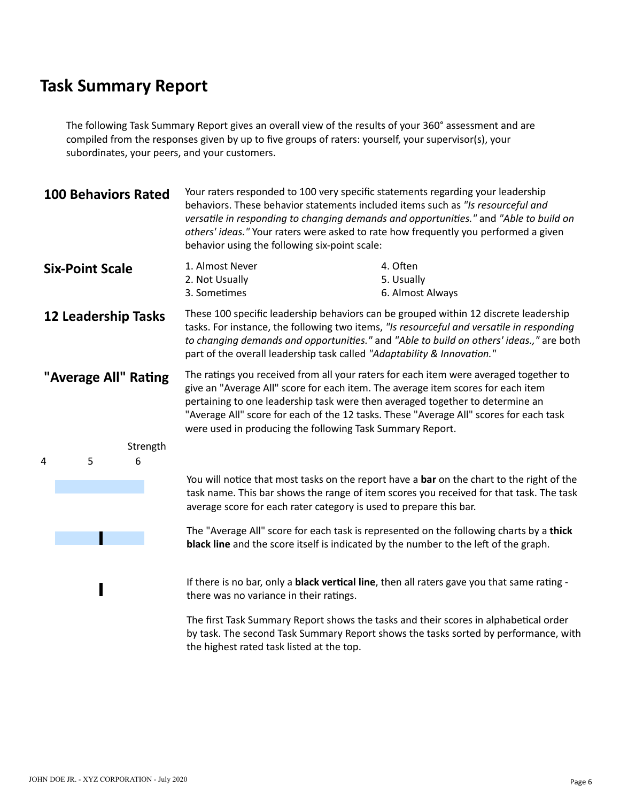The following Task Summary Report gives an overall view of the results of your 360° assessment and are compiled from the responses given by up to five groups of raters: yourself, your supervisor(s), your subordinates, your peers, and your customers.

|                      | <b>100 Behaviors Rated</b> |          | Your raters responded to 100 very specific statements regarding your leadership<br>behaviors. These behavior statements included items such as "Is resourceful and<br>versatile in responding to changing demands and opportunities." and "Able to build on<br>others' ideas." Your raters were asked to rate how frequently you performed a given<br>behavior using the following six-point scale:               |                                            |  |  |  |  |  |  |
|----------------------|----------------------------|----------|-------------------------------------------------------------------------------------------------------------------------------------------------------------------------------------------------------------------------------------------------------------------------------------------------------------------------------------------------------------------------------------------------------------------|--------------------------------------------|--|--|--|--|--|--|
|                      | <b>Six-Point Scale</b>     |          | 1. Almost Never<br>2. Not Usually<br>3. Sometimes                                                                                                                                                                                                                                                                                                                                                                 | 4. Often<br>5. Usually<br>6. Almost Always |  |  |  |  |  |  |
|                      | <b>12 Leadership Tasks</b> |          | These 100 specific leadership behaviors can be grouped within 12 discrete leadership<br>tasks. For instance, the following two items, "Is resourceful and versatile in responding<br>to changing demands and opportunities." and "Able to build on others' ideas.," are both<br>part of the overall leadership task called "Adaptability & Innovation."                                                           |                                            |  |  |  |  |  |  |
| "Average All" Rating |                            |          | The ratings you received from all your raters for each item were averaged together to<br>give an "Average All" score for each item. The average item scores for each item<br>pertaining to one leadership task were then averaged together to determine an<br>"Average All" score for each of the 12 tasks. These "Average All" scores for each task<br>were used in producing the following Task Summary Report. |                                            |  |  |  |  |  |  |
|                      |                            | Strength |                                                                                                                                                                                                                                                                                                                                                                                                                   |                                            |  |  |  |  |  |  |
| 4                    | 5                          | 6        |                                                                                                                                                                                                                                                                                                                                                                                                                   |                                            |  |  |  |  |  |  |
|                      |                            |          | You will notice that most tasks on the report have a bar on the chart to the right of the<br>task name. This bar shows the range of item scores you received for that task. The task<br>average score for each rater category is used to prepare this bar.                                                                                                                                                        |                                            |  |  |  |  |  |  |
|                      |                            |          | The "Average All" score for each task is represented on the following charts by a thick<br>black line and the score itself is indicated by the number to the left of the graph.                                                                                                                                                                                                                                   |                                            |  |  |  |  |  |  |
|                      |                            |          | If there is no bar, only a black vertical line, then all raters gave you that same rating -<br>there was no variance in their ratings.                                                                                                                                                                                                                                                                            |                                            |  |  |  |  |  |  |

The first Task Summary Report shows the tasks and their scores in alphabetical order by task. The second Task Summary Report shows the tasks sorted by performance, with the highest rated task listed at the top.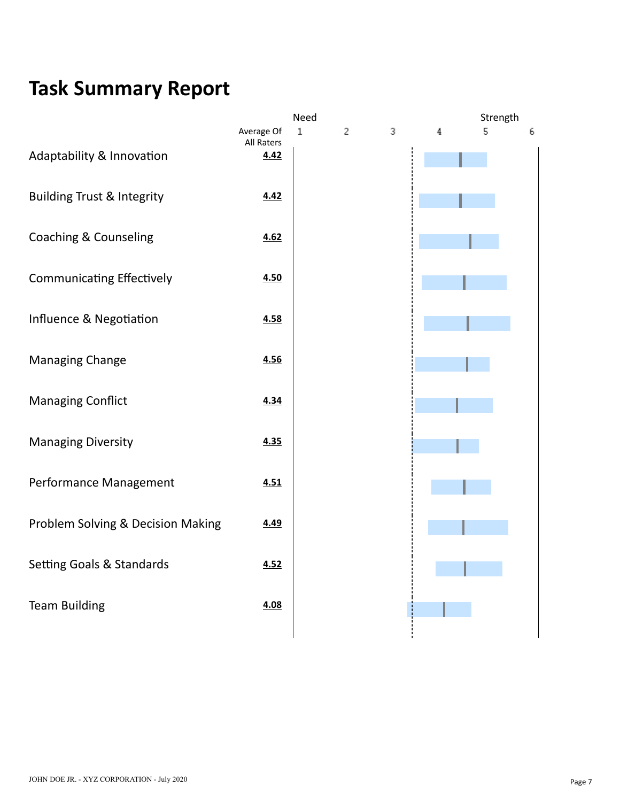|                                       |                    | Need        |   |   |   | Strength |   |
|---------------------------------------|--------------------|-------------|---|---|---|----------|---|
|                                       | Average Of         | $\mathbf 1$ | 2 | 3 | 4 | 5        | 6 |
| Adaptability & Innovation             | All Raters<br>4.42 |             |   |   |   |          |   |
|                                       |                    |             |   |   |   |          |   |
|                                       |                    |             |   |   |   |          |   |
| <b>Building Trust &amp; Integrity</b> | 4.42               |             |   |   |   |          |   |
|                                       |                    |             |   |   |   |          |   |
| <b>Coaching &amp; Counseling</b>      | 4.62               |             |   |   |   |          |   |
|                                       |                    |             |   |   |   |          |   |
|                                       |                    |             |   |   |   |          |   |
| <b>Communicating Effectively</b>      | 4.50               |             |   |   |   |          |   |
|                                       |                    |             |   |   |   |          |   |
| Influence & Negotiation               | 4.58               |             |   |   |   |          |   |
|                                       |                    |             |   |   |   |          |   |
| <b>Managing Change</b>                | 4.56               |             |   |   |   |          |   |
|                                       |                    |             |   |   |   |          |   |
|                                       |                    |             |   |   |   |          |   |
| <b>Managing Conflict</b>              | 4.34               |             |   |   |   |          |   |
|                                       |                    |             |   |   |   |          |   |
| <b>Managing Diversity</b>             | 4.35               |             |   |   |   |          |   |
|                                       |                    |             |   |   |   |          |   |
|                                       |                    |             |   |   |   |          |   |
| Performance Management                | 4.51               |             |   |   |   |          |   |
|                                       |                    |             |   |   |   |          |   |
| Problem Solving & Decision Making     | 4.49               |             |   |   |   |          |   |
|                                       |                    |             |   |   |   |          |   |
|                                       | 4.52               |             |   |   |   |          |   |
| Setting Goals & Standards             |                    |             |   |   |   |          |   |
|                                       |                    |             |   |   |   |          |   |
| <b>Team Building</b>                  | 4.08               |             |   |   |   |          |   |
|                                       |                    |             |   |   |   |          |   |
|                                       |                    |             |   |   |   |          |   |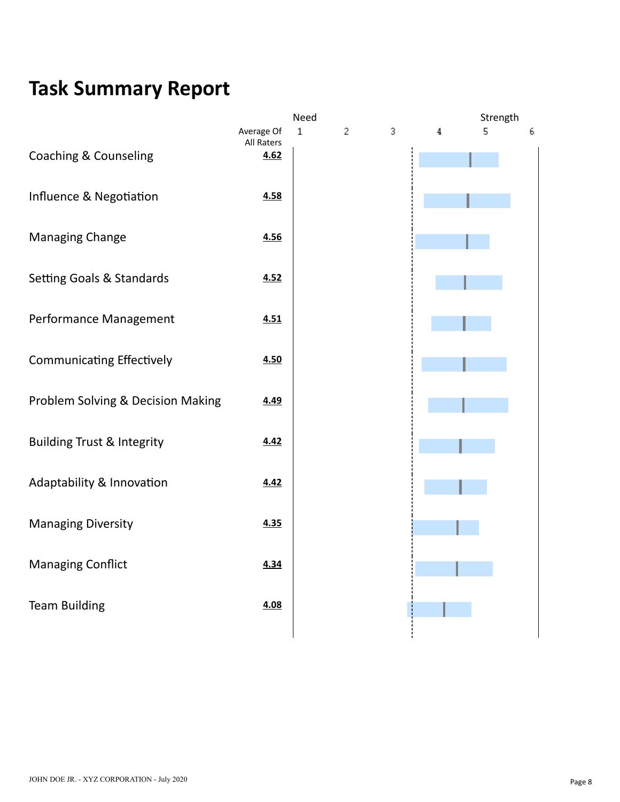|                                       |                                  | Need        |   |   |   | Strength |   |
|---------------------------------------|----------------------------------|-------------|---|---|---|----------|---|
| <b>Coaching &amp; Counseling</b>      | Average Of<br>All Raters<br>4.62 | $\mathbf 1$ | 2 | 3 | 4 | 5        | 6 |
|                                       |                                  |             |   |   |   |          |   |
| Influence & Negotiation               | 4.58                             |             |   |   |   |          |   |
| <b>Managing Change</b>                | 4.56                             |             |   |   |   |          |   |
| Setting Goals & Standards             | 4.52                             |             |   |   |   |          |   |
| Performance Management                | 4.51                             |             |   |   |   |          |   |
| <b>Communicating Effectively</b>      | 4.50                             |             |   |   |   |          |   |
|                                       |                                  |             |   |   |   |          |   |
| Problem Solving & Decision Making     | 4.49                             |             |   |   |   |          |   |
| <b>Building Trust &amp; Integrity</b> | 4.42                             |             |   |   |   |          |   |
| Adaptability & Innovation             | 4.42                             |             |   |   |   |          |   |
| <b>Managing Diversity</b>             | 4.35                             |             |   |   |   |          |   |
| <b>Managing Conflict</b>              | 4.34                             |             |   |   |   |          |   |
|                                       |                                  |             |   |   |   |          |   |
| <b>Team Building</b>                  | 4.08                             |             |   |   |   |          |   |
|                                       |                                  |             |   |   |   |          |   |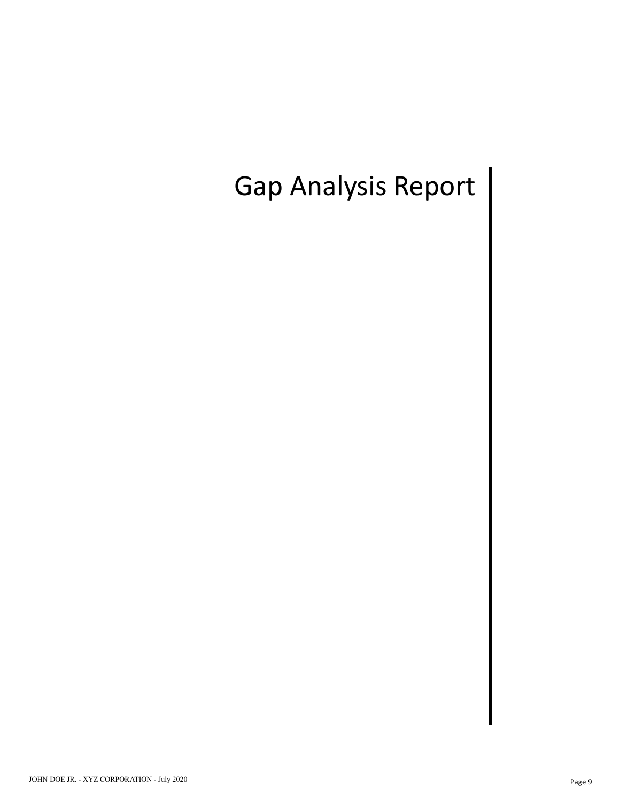## Gap Analysis Report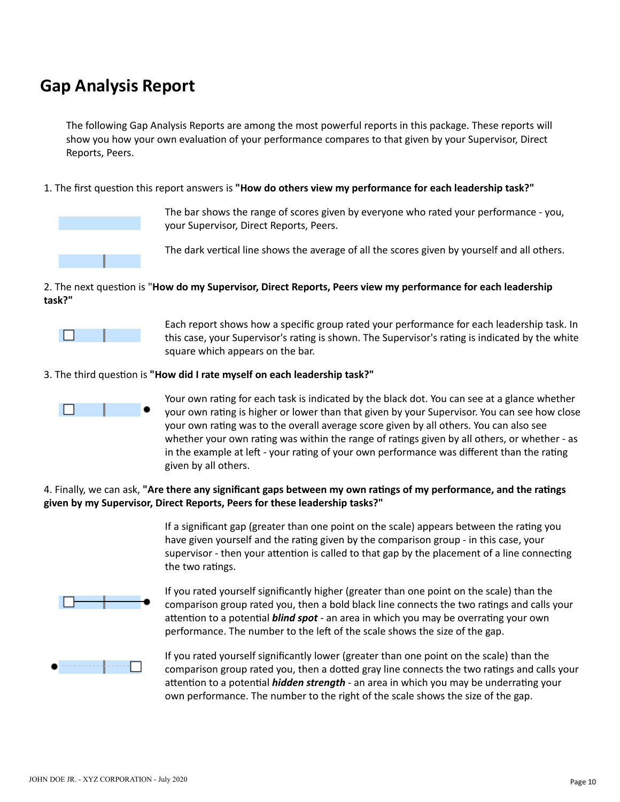#### **Gap Analysis Report**

The following Gap Analysis Reports are among the most powerful reports in this package. These reports will show you how your own evaluation of your performance compares to that given by your Supervisor, Direct Reports, Peers.

1. The first question this report answers is "How do others view my performance for each leadership task?"



The bar shows the range of scores given by everyone who rated your performance - you, your Supervisor, Direct Reports, Peers.

The dark vertical line shows the average of all the scores given by yourself and all others.

#### 2. The next question is "**How do my Supervisor, Direct Reports, Peers view my performance for each leadership task?"**



Each report shows how a specific group rated your performance for each leadership task. In this case, your Supervisor's rating is shown. The Supervisor's rating is indicated by the white square which appears on the bar.

#### 3. The third question is "How did I rate myself on each leadership task?"



Your own rating for each task is indicated by the black dot. You can see at a glance whether your own rating is higher or lower than that given by your Supervisor. You can see how close your own rating was to the overall average score given by all others. You can also see whether your own rating was within the range of ratings given by all others, or whether - as in the example at left - your rating of your own performance was different than the rating given by all others.

#### 4. Finally, we can ask, "Are there any significant gaps between my own ratings of my performance, and the ratings **given by my Supervisor, Direct Reports, Peers for these leadership tasks?"**

If a significant gap (greater than one point on the scale) appears between the rating you have given yourself and the rating given by the comparison group - in this case, your supervisor - then your attention is called to that gap by the placement of a line connecting the two ratings.



If you rated yourself significantly higher (greater than one point on the scale) than the comparison group rated you, then a bold black line connects the two ratings and calls your attention to a potential *blind spot* - an area in which you may be overrating your own performance. The number to the left of the scale shows the size of the gap.



If you rated yourself significantly lower (greater than one point on the scale) than the comparison group rated you, then a dotted gray line connects the two ratings and calls your attention to a potential *hidden strength* - an area in which you may be underrating your own performance. The number to the right of the scale shows the size of the gap.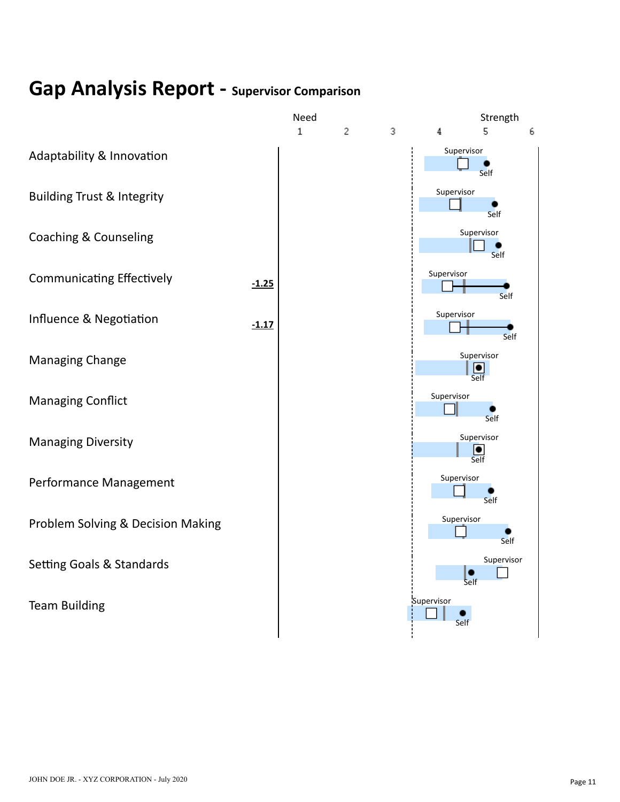## **Gap Analysis Report - Supervisor Comparison**

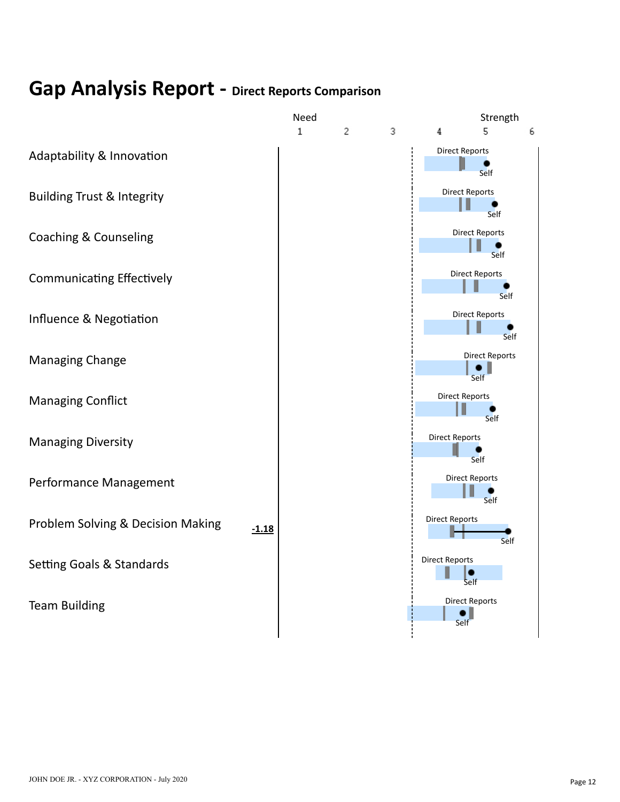#### **Gap Analysis Report - Direct Reports Comparison**

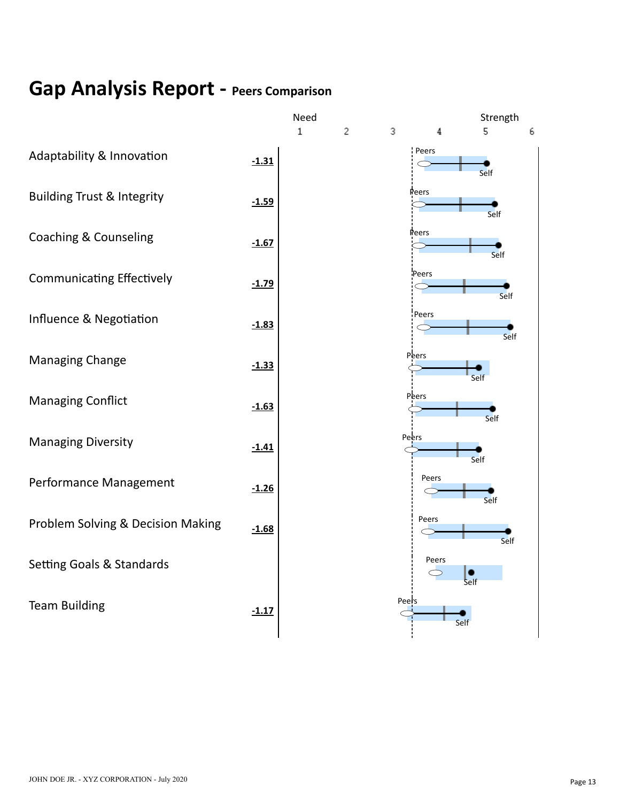### **Gap Analysis Report - Peers Comparison**

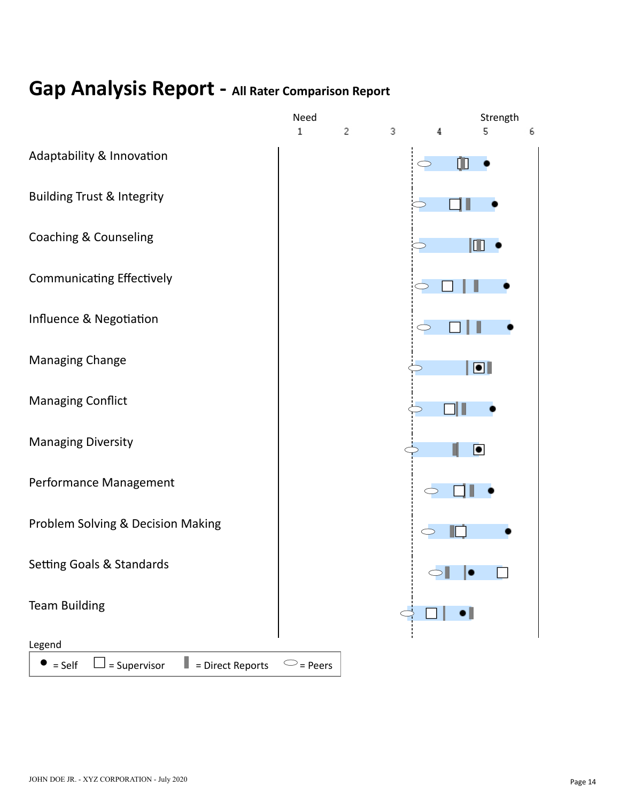#### **Gap Analysis Report - All Rater Comparison Report**

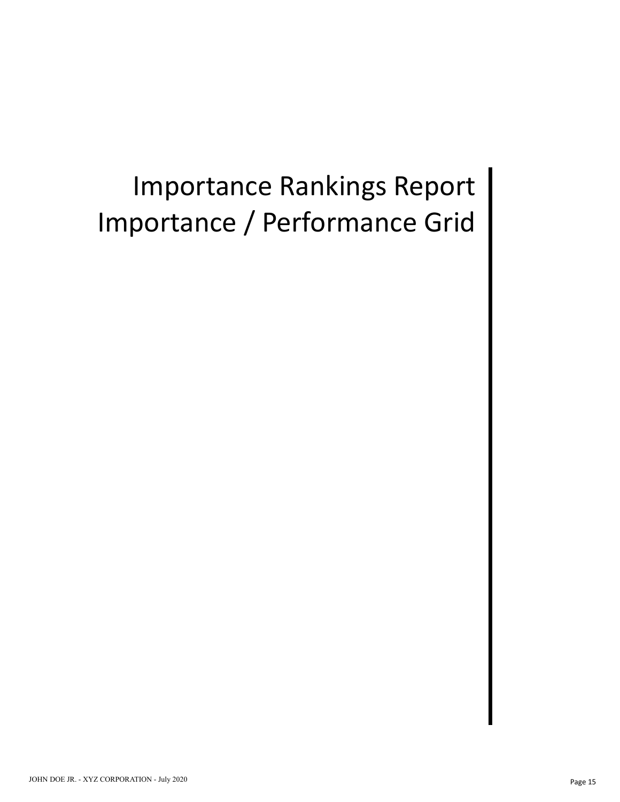## Importance Rankings Report Importance / Performance Grid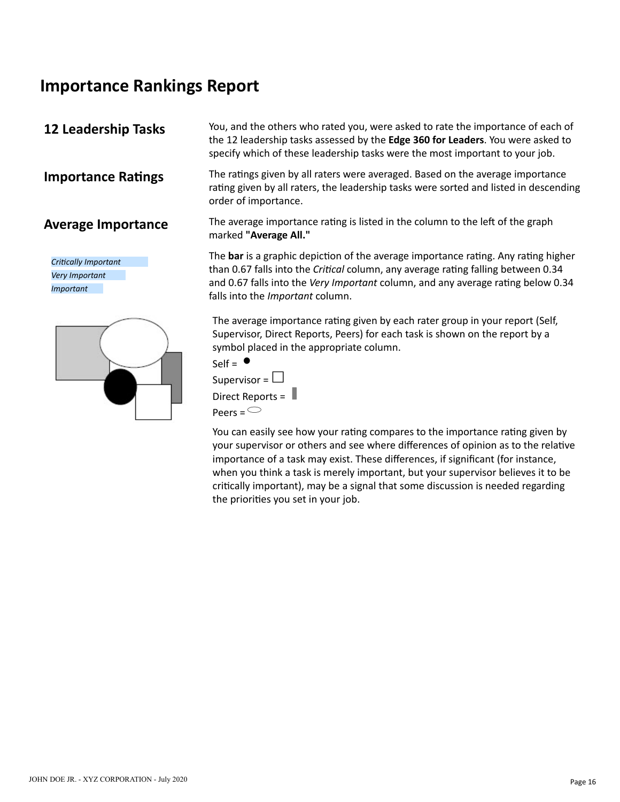#### **Importance Rankings Report**

#### **12 Leadership Tasks**

*Crically Important Very Important Important*



You, and the others who rated you, were asked to rate the importance of each of the 12 leadership tasks assessed by the **Edge 360 for Leaders**. You were asked to specify which of these leadership tasks were the most important to your job.

**Importance Ratings** The ratings given by all raters were averaged. Based on the average importance rating given by all raters, the leadership tasks were sorted and listed in descending order of importance.

**Average Importance** The average importance rating is listed in the column to the left of the graph marked **"Average All."**

> The bar is a graphic depiction of the average importance rating. Any rating higher than 0.67 falls into the *Critical* column, any average rating falling between 0.34 and 0.67 falls into the *Very Important* column, and any average rating below 0.34 falls into the *Important* column.

The average importance rating given by each rater group in your report (Self, Supervisor, Direct Reports, Peers) for each task is shown on the report by a symbol placed in the appropriate column.



Peers  $=$ 

You can easily see how your rating compares to the importance rating given by your supervisor or others and see where differences of opinion as to the relative importance of a task may exist. These differences, if significant (for instance, when you think a task is merely important, but your supervisor believes it to be critically important), may be a signal that some discussion is needed regarding the priorities you set in your job.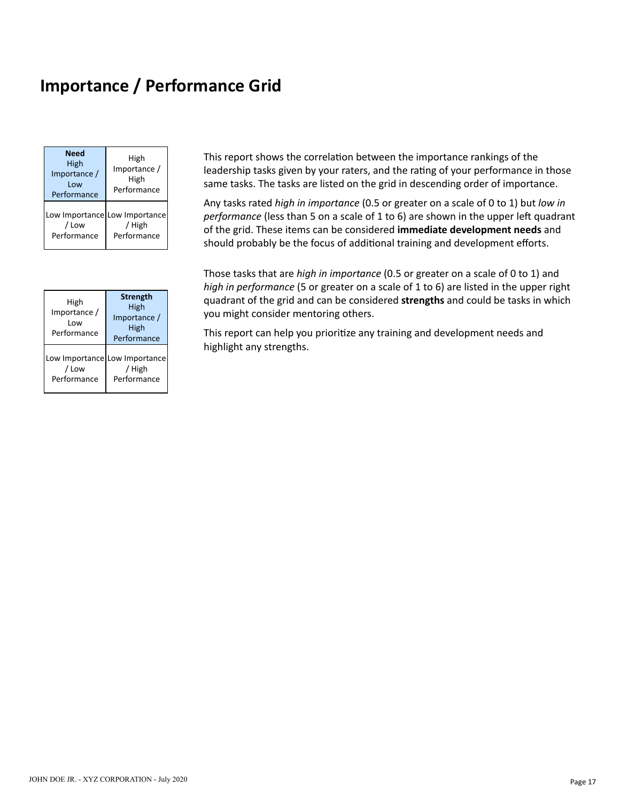#### **Importance / Performance Grid**

| Need<br>High<br>Importance /<br>l ow<br>Performance | High<br>Importance /<br>High<br>Performance            |
|-----------------------------------------------------|--------------------------------------------------------|
| / Low<br>Performance                                | Low Importance Low Importance<br>/ High<br>Performance |

| High<br>Importance /<br>l ow<br>Performance | <b>Strength</b><br>High<br>Importance /<br>High<br>Performance |
|---------------------------------------------|----------------------------------------------------------------|
| / Low<br>Performance                        | Low Importance Low Importance<br>/ High<br>Performance         |

This report shows the correlation between the importance rankings of the leadership tasks given by your raters, and the rating of your performance in those same tasks. The tasks are listed on the grid in descending order of importance.

Any tasks rated *high in importance* (0.5 or greater on a scale of 0 to 1) but *low in performance* (less than 5 on a scale of 1 to 6) are shown in the upper left quadrant of the grid. These items can be considered **immediate development needs** and should probably be the focus of additional training and development efforts.

Those tasks that are *high in importance* (0.5 or greater on a scale of 0 to 1) and *high in performance* (5 or greater on a scale of 1 to 6) are listed in the upper right quadrant of the grid and can be considered **strengths** and could be tasks in which you might consider mentoring others.

This report can help you prioritize any training and development needs and highlight any strengths.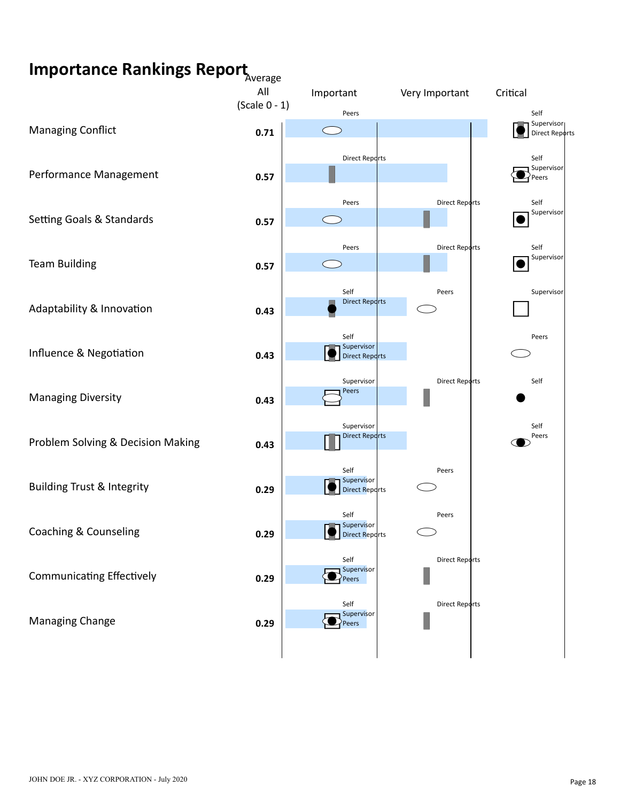## **Importance Rankings Report** Average

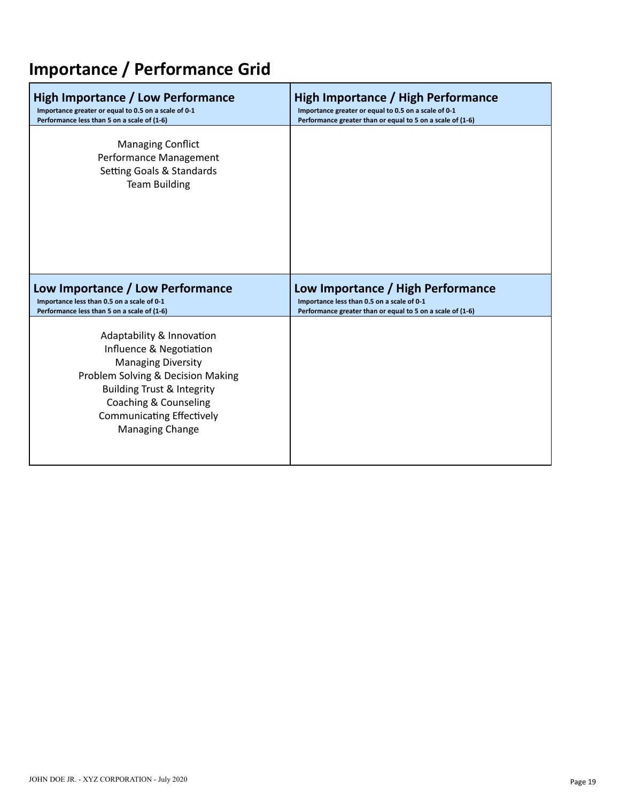## **Importance / Performance Grid**

| <b>High Importance / Low Performance</b>                                                                | High Importance / High Performance                         |
|---------------------------------------------------------------------------------------------------------|------------------------------------------------------------|
| Importance greater or equal to 0.5 on a scale of 0-1                                                    | Importance greater or equal to 0.5 on a scale of 0-1       |
| Performance less than 5 on a scale of (1-6)                                                             | Performance greater than or equal to 5 on a scale of (1-6) |
| <b>Managing Conflict</b><br>Performance Management<br>Setting Goals & Standards<br><b>Team Building</b> |                                                            |
|                                                                                                         |                                                            |
| Low Importance / Low Performance                                                                        | Low Importance / High Performance                          |
| Importance less than 0.5 on a scale of 0-1                                                              | Importance less than 0.5 on a scale of 0-1                 |
| Performance less than 5 on a scale of (1-6)                                                             | Performance greater than or equal to 5 on a scale of (1-6) |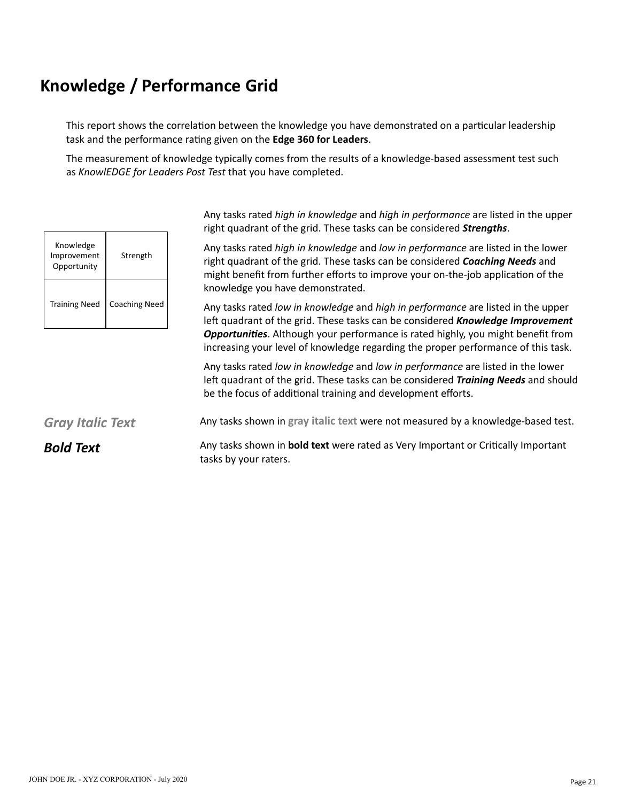This report shows the correlation between the knowledge you have demonstrated on a particular leadership task and the performance rating given on the Edge 360 for Leaders.

The measurement of knowledge typically comes from the results of a knowledge-based assessment test such as *KnowlEDGE for Leaders Post Test* that you have completed.

| Knowledge<br>Improvement<br>Opportunity | Strength             |
|-----------------------------------------|----------------------|
| <b>Training Need</b>                    | <b>Coaching Need</b> |

Any tasks rated *high in knowledge* and *high in performance* are listed in the upper right quadrant of the grid. These tasks can be considered *Strengths*.

Any tasks rated *high in knowledge* and *low in performance* are listed in the lower right quadrant of the grid. These tasks can be considered *Coaching Needs* and might benefit from further efforts to improve your on-the-job application of the knowledge you have demonstrated.

Any tasks rated *low in knowledge* and *high in performance* are listed in the upper left quadrant of the grid. These tasks can be considered **Knowledge Improvement Opportunities**. Although your performance is rated highly, you might benefit from increasing your level of knowledge regarding the proper performance of this task.

Any tasks rated *low in knowledge* and *low in performance* are listed in the lower left quadrant of the grid. These tasks can be considered **Training Needs** and should be the focus of additional training and development efforts.

## *Gray Italic Text* Any tasks shown in **gray italic text** were not measured by a knowledge-based test.

**Bold Text** Any tasks shown in **bold text** were rated as Very Important or Critically Important tasks by your raters.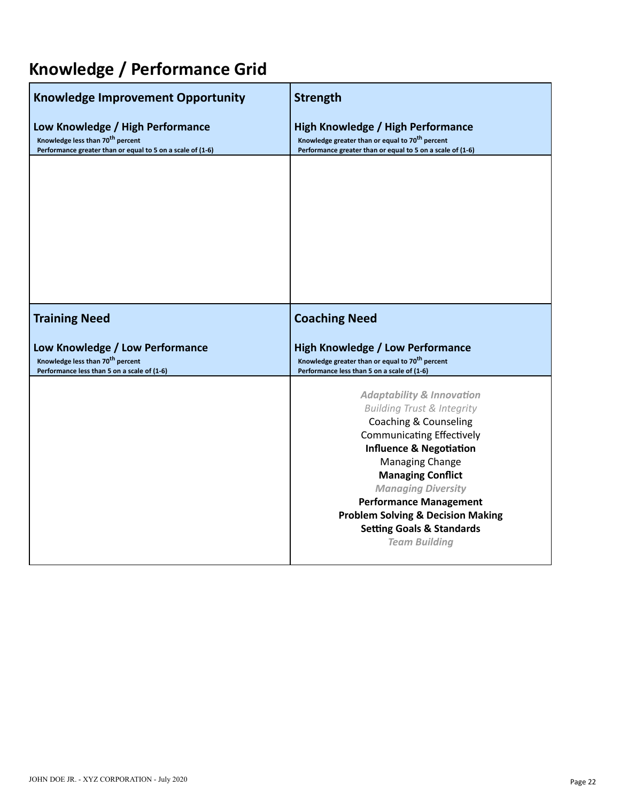| <b>Knowledge Improvement Opportunity</b><br>Low Knowledge / High Performance<br>Knowledge less than 70 <sup>th</sup> percent<br>Performance greater than or equal to 5 on a scale of (1-6) | <b>Strength</b><br>High Knowledge / High Performance<br>Knowledge greater than or equal to 70 <sup>th</sup> percent<br>Performance greater than or equal to 5 on a scale of (1-6) |
|--------------------------------------------------------------------------------------------------------------------------------------------------------------------------------------------|-----------------------------------------------------------------------------------------------------------------------------------------------------------------------------------|
|                                                                                                                                                                                            |                                                                                                                                                                                   |
|                                                                                                                                                                                            |                                                                                                                                                                                   |
|                                                                                                                                                                                            |                                                                                                                                                                                   |
| <b>Training Need</b>                                                                                                                                                                       | <b>Coaching Need</b>                                                                                                                                                              |
| Low Knowledge / Low Performance                                                                                                                                                            |                                                                                                                                                                                   |
| Knowledge less than 70 <sup>th</sup> percent<br>Performance less than 5 on a scale of (1-6)                                                                                                | <b>High Knowledge / Low Performance</b><br>Knowledge greater than or equal to 70 <sup>th</sup> percent<br>Performance less than 5 on a scale of (1-6)                             |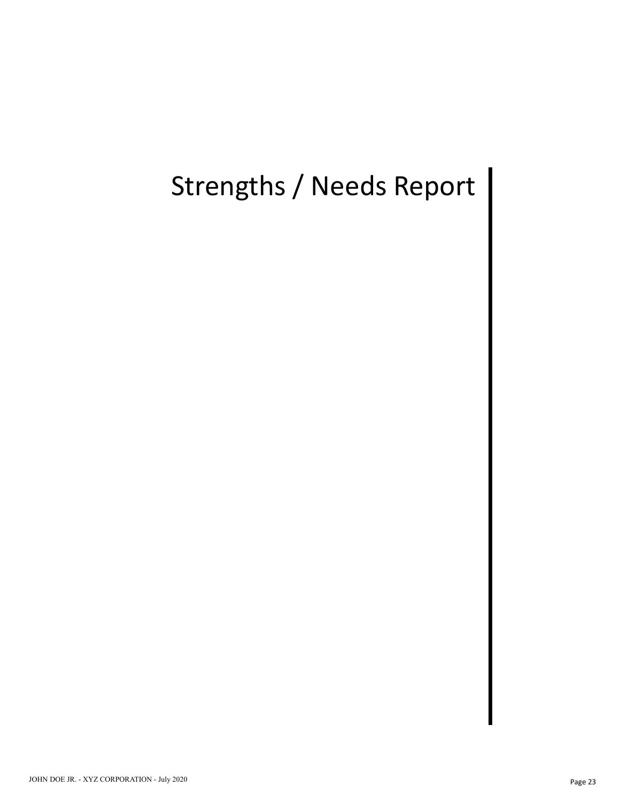## Strengths / Needs Report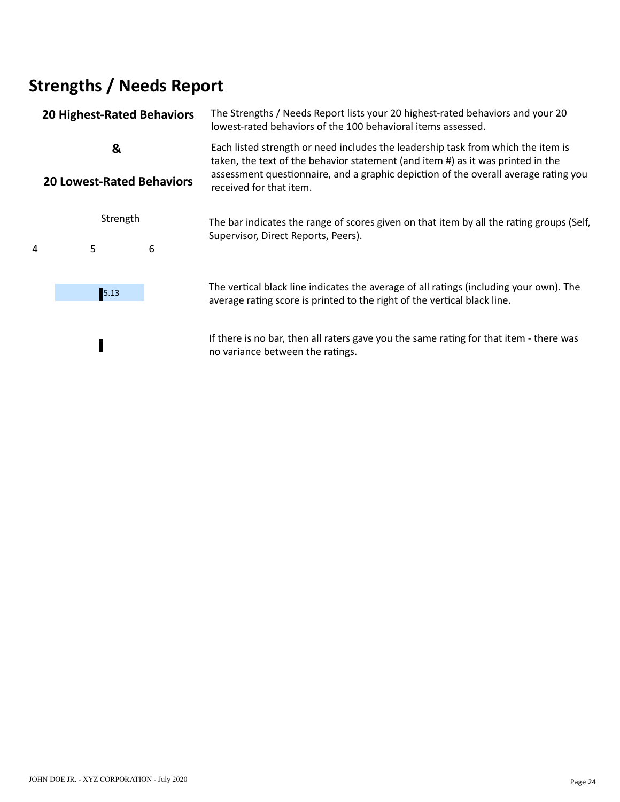## **Strengths / Needs Report**

|                                  | <b>20 Highest-Rated Behaviors</b> |   | The Strengths / Needs Report lists your 20 highest-rated behaviors and your 20<br>lowest-rated behaviors of the 100 behavioral items assessed.                                                                                                             |  |  |  |  |  |  |
|----------------------------------|-----------------------------------|---|------------------------------------------------------------------------------------------------------------------------------------------------------------------------------------------------------------------------------------------------------------|--|--|--|--|--|--|
|                                  | &                                 |   | Each listed strength or need includes the leadership task from which the item is<br>taken, the text of the behavior statement (and item #) as it was printed in the<br>assessment questionnaire, and a graphic depiction of the overall average rating you |  |  |  |  |  |  |
| <b>20 Lowest-Rated Behaviors</b> |                                   |   | received for that item.                                                                                                                                                                                                                                    |  |  |  |  |  |  |
| Strength                         |                                   |   | The bar indicates the range of scores given on that item by all the rating groups (Self,<br>Supervisor, Direct Reports, Peers).                                                                                                                            |  |  |  |  |  |  |
| 4                                | 5                                 | 6 |                                                                                                                                                                                                                                                            |  |  |  |  |  |  |
|                                  | 5.13                              |   | The vertical black line indicates the average of all ratings (including your own). The<br>average rating score is printed to the right of the vertical black line.                                                                                         |  |  |  |  |  |  |
|                                  |                                   |   | If there is no bar, then all raters gave you the same rating for that item - there was<br>no variance between the ratings.                                                                                                                                 |  |  |  |  |  |  |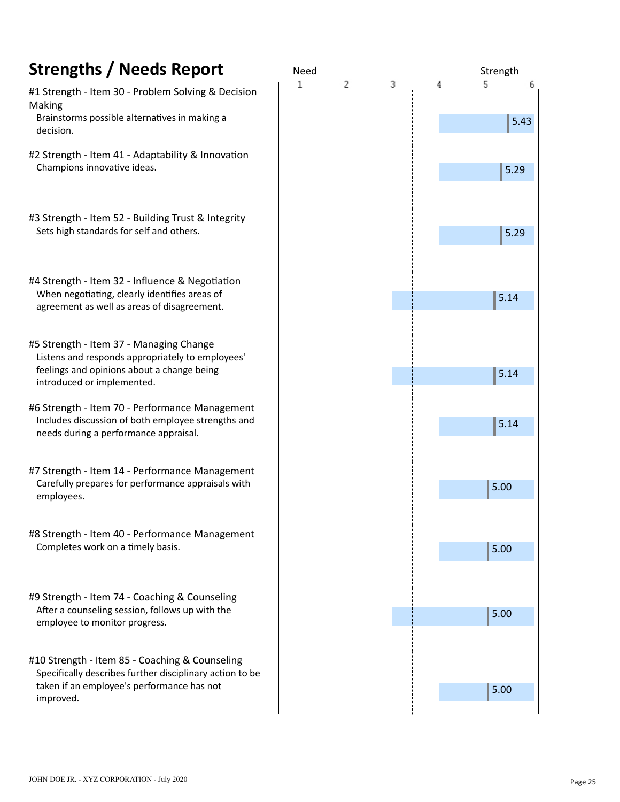| <b>Strengths / Needs Report</b>                                                                                                                 | Need |   |   |   | Strength  |   |
|-------------------------------------------------------------------------------------------------------------------------------------------------|------|---|---|---|-----------|---|
| #1 Strength - Item 30 - Problem Solving & Decision<br>Making<br>Brainstorms possible alternatives in making a                                   | 1    | 2 | 3 | 4 | 5<br>5.43 | 6 |
| decision.                                                                                                                                       |      |   |   |   |           |   |
| #2 Strength - Item 41 - Adaptability & Innovation<br>Champions innovative ideas.                                                                |      |   |   |   | 5.29      |   |
|                                                                                                                                                 |      |   |   |   |           |   |
| #3 Strength - Item 52 - Building Trust & Integrity<br>Sets high standards for self and others.                                                  |      |   |   |   |           |   |
|                                                                                                                                                 |      |   |   |   | 5.29      |   |
|                                                                                                                                                 |      |   |   |   |           |   |
| #4 Strength - Item 32 - Influence & Negotiation<br>When negotiating, clearly identifies areas of<br>agreement as well as areas of disagreement. |      |   |   |   | 5.14      |   |
|                                                                                                                                                 |      |   |   |   |           |   |
| #5 Strength - Item 37 - Managing Change                                                                                                         |      |   |   |   |           |   |
| Listens and responds appropriately to employees'<br>feelings and opinions about a change being<br>introduced or implemented.                    |      |   |   |   | 5.14      |   |
| #6 Strength - Item 70 - Performance Management                                                                                                  |      |   |   |   |           |   |
| Includes discussion of both employee strengths and<br>needs during a performance appraisal.                                                     |      |   |   |   | 5.14      |   |
|                                                                                                                                                 |      |   |   |   |           |   |
| #7 Strength - Item 14 - Performance Management<br>Carefully prepares for performance appraisals with                                            |      |   |   |   |           |   |
| employees.                                                                                                                                      |      |   |   |   | 5.00      |   |
|                                                                                                                                                 |      |   |   |   |           |   |
| #8 Strength - Item 40 - Performance Management<br>Completes work on a timely basis.                                                             |      |   |   |   | 5.00      |   |
|                                                                                                                                                 |      |   |   |   |           |   |
| #9 Strength - Item 74 - Coaching & Counseling                                                                                                   |      |   |   |   |           |   |
| After a counseling session, follows up with the<br>employee to monitor progress.                                                                |      |   |   |   | 5.00      |   |
|                                                                                                                                                 |      |   |   |   |           |   |
| #10 Strength - Item 85 - Coaching & Counseling<br>Specifically describes further disciplinary action to be                                      |      |   |   |   |           |   |
| taken if an employee's performance has not<br>improved.                                                                                         |      |   |   |   | 5.00      |   |
|                                                                                                                                                 |      |   |   |   |           |   |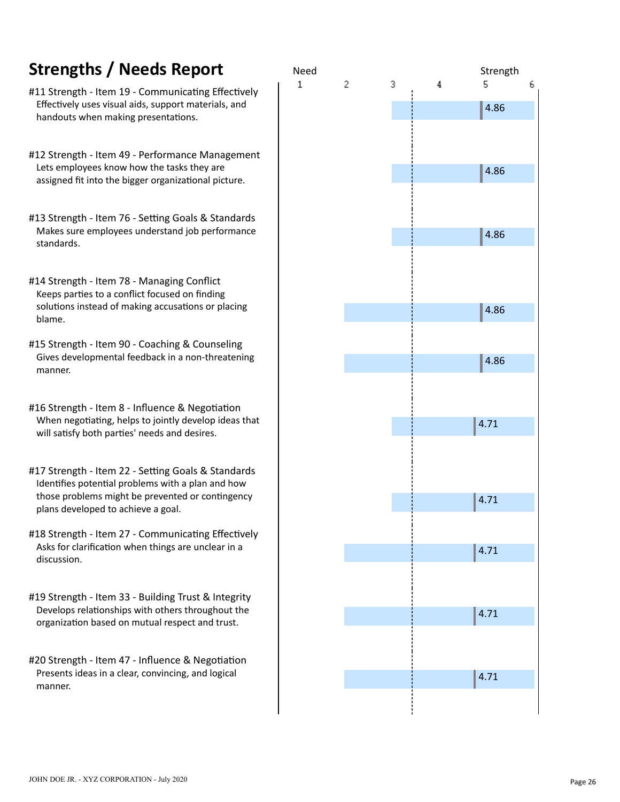### **Strengths / Needs Report**

- #11 Strength Item 19 Communicating Effectively Effectively uses visual aids, support materials, and handouts when making presentations.
- #12 Strength Item 49 Performance Management Lets employees know how the tasks they are assigned fit into the bigger organizational picture.
- #13 Strength Item 76 Setting Goals & Standards Makes sure employees understand job performance standards.
- #14 Strength Item 78 Managing Conflict Keeps parties to a conflict focused on finding solutions instead of making accusations or placing blame.
- #15 Strength Item 90 Coaching & Counseling Gives developmental feedback in a non-threatening manner.
- #16 Strength Item 8 Influence & Negotiation When negotiating, helps to jointly develop ideas that will satisfy both parties' needs and desires.
- #17 Strength Item 22 Setting Goals & Standards Identifies potential problems with a plan and how those problems might be prevented or contingency plans developed to achieve a goal.
- #18 Strength Item 27 Communicating Effectively Asks for clarification when things are unclear in a discussion.
- #19 Strength Item 33 Building Trust & Integrity Develops relationships with others throughout the organization based on mutual respect and trust.
- #20 Strength Item 47 Influence & Negotiation Presents ideas in a clear, convincing, and logical manner.

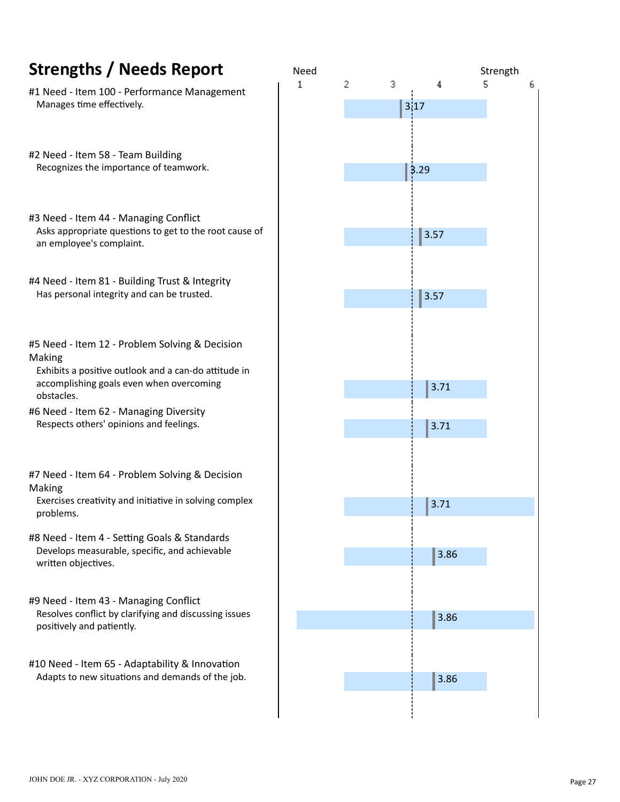| <b>Strengths / Needs Report</b>                                                                                | Need |   |           |      | Strength |   |
|----------------------------------------------------------------------------------------------------------------|------|---|-----------|------|----------|---|
| #1 Need - Item 100 - Performance Management<br>Manages time effectively.                                       | 1    | 2 | 3<br>3,17 |      | 5        | 6 |
|                                                                                                                |      |   |           |      |          |   |
| #2 Need - Item 58 - Team Building<br>Recognizes the importance of teamwork.                                    |      |   | 3.29      |      |          |   |
|                                                                                                                |      |   |           |      |          |   |
| #3 Need - Item 44 - Managing Conflict<br>Asks appropriate questions to get to the root cause of                |      |   |           | 3.57 |          |   |
| an employee's complaint.                                                                                       |      |   |           |      |          |   |
| #4 Need - Item 81 - Building Trust & Integrity<br>Has personal integrity and can be trusted.                   |      |   |           | 3.57 |          |   |
|                                                                                                                |      |   |           |      |          |   |
| #5 Need - Item 12 - Problem Solving & Decision<br>Making                                                       |      |   |           |      |          |   |
| Exhibits a positive outlook and a can-do attitude in<br>accomplishing goals even when overcoming<br>obstacles. |      |   |           | 3.71 |          |   |
| #6 Need - Item 62 - Managing Diversity<br>Respects others' opinions and feelings.                              |      |   |           |      |          |   |
|                                                                                                                |      |   |           | 3.71 |          |   |
| #7 Need - Item 64 - Problem Solving & Decision<br>Making                                                       |      |   |           |      |          |   |
| Exercises creativity and initiative in solving complex<br>problems.                                            |      |   |           | 3.71 |          |   |
| #8 Need - Item 4 - Setting Goals & Standards<br>Develops measurable, specific, and achievable                  |      |   |           |      |          |   |
| written objectives.                                                                                            |      |   |           | 3.86 |          |   |
| #9 Need - Item 43 - Managing Conflict<br>Resolves conflict by clarifying and discussing issues                 |      |   |           |      |          |   |
| positively and patiently.                                                                                      |      |   |           | 3.86 |          |   |
| #10 Need - Item 65 - Adaptability & Innovation                                                                 |      |   |           |      |          |   |
| Adapts to new situations and demands of the job.                                                               |      |   |           | 3.86 |          |   |
|                                                                                                                |      |   |           |      |          |   |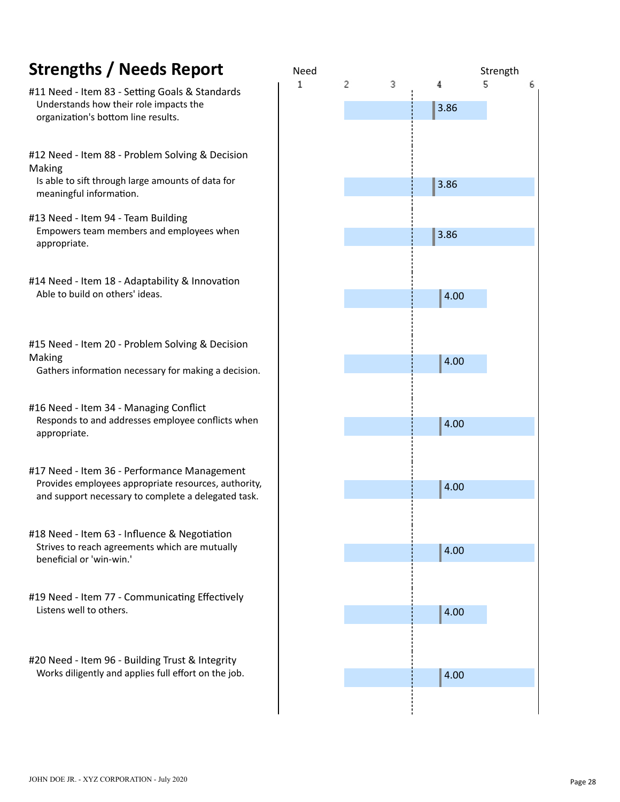# appropriate. #17 Need - Item 36 - Performance Management Provides employees appropriate resources, authority, and support necessary to complete a delegated task. #18 Need - Item 63 - Influence & Negotiation Strives to reach agreements which are mutually beneficial or 'win-win.' #19 Need - Item 77 - Communicating Effectively Listens well to others. #20 Need - Item 96 - Building Trust & Integrity Works diligently and applies full effort on the job. JOHN DOE JR. - XYZ CORPORATION - July 2020

Making

Making



6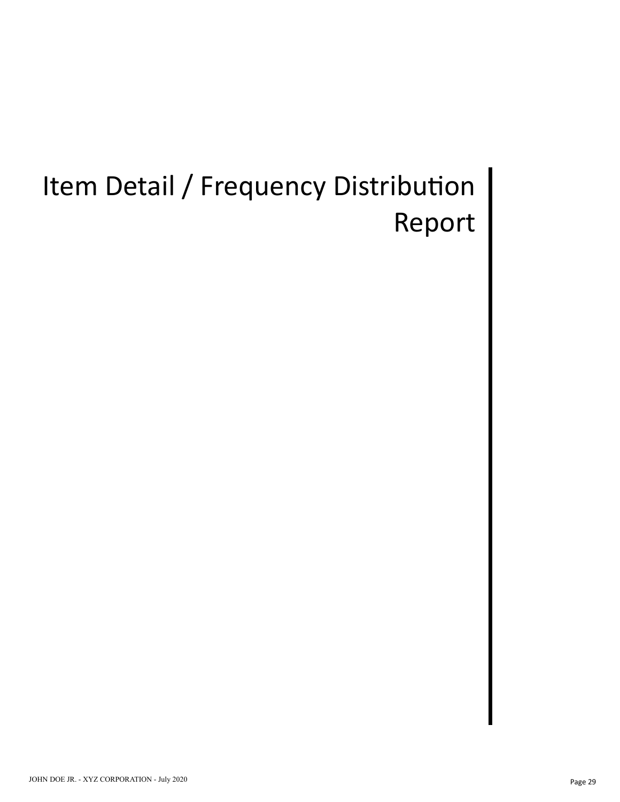## Item Detail / Frequency Distribution Report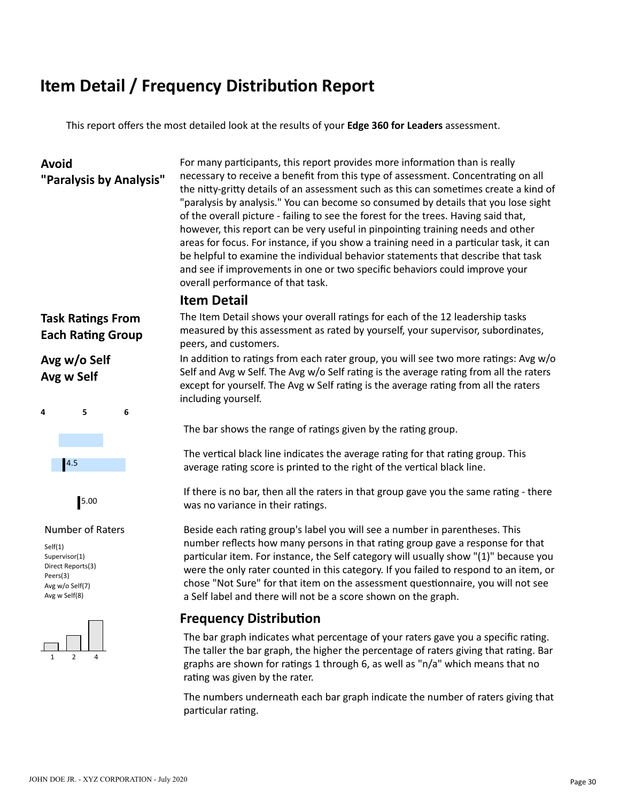#### **Item Detail / Frequency Distribution Report**

This report offers the most detailed look at the results of your **Edge 360 for Leaders** assessment.

#### **Avoid**

**"Paralysis by Analysis"**

For many participants, this report provides more information than is really necessary to receive a benefit from this type of assessment. Concentrating on all the nitty-gritty details of an assessment such as this can sometimes create a kind of "paralysis by analysis." You can become so consumed by details that you lose sight of the overall picture - failing to see the forest for the trees. Having said that, however, this report can be very useful in pinpointing training needs and other areas for focus. For instance, if you show a training need in a particular task, it can be helpful to examine the individual behavior statements that describe that task and see if improvements in one or two specific behaviors could improve your overall performance of that task.

#### **Item Detail**

**Task Ratings From Each Rating Group** 

#### **Avg w/o Self Avg w Self**





#### Number of Raters

Self(1) Supervisor(1) Direct Reports(3) Peers(3) Avg w/o Self(7) Avg w Self(8)



The Item Detail shows your overall ratings for each of the 12 leadership tasks measured by this assessment as rated by yourself, your supervisor, subordinates, peers, and customers.

In addition to ratings from each rater group, you will see two more ratings: Avg  $w/o$ Self and Avg w Self. The Avg  $w$ /o Self rating is the average rating from all the raters except for yourself. The Avg w Self rating is the average rating from all the raters including yourself.

The bar shows the range of ratings given by the rating group.

The vertical black line indicates the average rating for that rating group. This average rating score is printed to the right of the vertical black line.

If there is no bar, then all the raters in that group gave you the same rating - there was no variance in their ratings.

Beside each rating group's label you will see a number in parentheses. This number reflects how many persons in that rating group gave a response for that particular item. For instance, the Self category will usually show "(1)" because you were the only rater counted in this category. If you failed to respond to an item, or chose "Not Sure" for that item on the assessment questionnaire, you will not see a Self label and there will not be a score shown on the graph.

#### **Frequency Distribution**

The bar graph indicates what percentage of your raters gave you a specific rating. The taller the bar graph, the higher the percentage of raters giving that rating. Bar graphs are shown for ratings 1 through 6, as well as "n/a" which means that no rating was given by the rater.

The numbers underneath each bar graph indicate the number of raters giving that particular rating.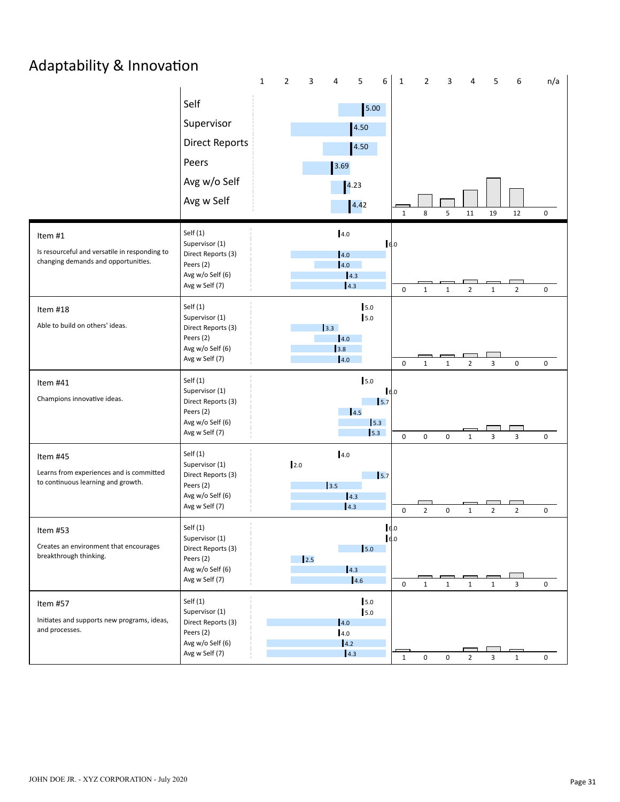### Adaptability & Innovation

|                                                                                      |                                      | $\mathbf 1$ | $\mathbf{2}$ | 3           | $\overline{4}$ | 5                        | 6                           | $\mathbf{1}$ | $\overline{2}$ | 3                   | 4              | 5              | 6              | n/a         |
|--------------------------------------------------------------------------------------|--------------------------------------|-------------|--------------|-------------|----------------|--------------------------|-----------------------------|--------------|----------------|---------------------|----------------|----------------|----------------|-------------|
|                                                                                      | Self                                 |             |              |             |                | 5.00                     |                             |              |                |                     |                |                |                |             |
|                                                                                      | Supervisor                           |             |              |             |                | 4.50                     |                             |              |                |                     |                |                |                |             |
|                                                                                      | <b>Direct Reports</b>                |             |              |             |                | 4.50                     |                             |              |                |                     |                |                |                |             |
|                                                                                      | Peers                                |             |              |             | 3.69           |                          |                             |              |                |                     |                |                |                |             |
|                                                                                      | Avg w/o Self                         |             |              |             |                | 4.23                     |                             |              |                |                     |                |                |                |             |
|                                                                                      | Avg w Self                           |             |              |             |                | 4.42                     |                             |              |                |                     |                |                |                |             |
|                                                                                      |                                      |             |              |             |                |                          |                             | $\mathbf{1}$ | 8              | 5                   | 11             | 19             | 12             | $\mathbf 0$ |
| Item #1                                                                              | Self $(1)$<br>Supervisor (1)         |             |              |             | 4.0            |                          | 6.0                         |              |                |                     |                |                |                |             |
| Is resourceful and versatile in responding to<br>changing demands and opportunities. | Direct Reports (3)<br>Peers (2)      |             |              |             | 4.0<br> 4.0    |                          |                             |              |                |                     |                |                |                |             |
|                                                                                      | Avg w/o Self (6)<br>Avg w Self (7)   |             |              |             |                | 4.3<br>4.3               |                             | $\mathbf 0$  |                |                     |                |                |                |             |
| Item #18                                                                             | Self $(1)$                           |             |              |             |                | 5.0                      |                             |              | $1\,$          | $\mathbf 1$         | $\overline{2}$ | $\mathbf 1$    | $\overline{2}$ | 0           |
| Able to build on others' ideas.                                                      | Supervisor (1)<br>Direct Reports (3) |             |              |             | 3.3            | 5.0                      |                             |              |                |                     |                |                |                |             |
|                                                                                      | Peers (2)                            |             |              |             | 4.0            |                          |                             |              |                |                     |                |                |                |             |
|                                                                                      | Avg w/o Self (6)<br>Avg w Self (7)   |             |              |             | 3.8<br>4.0     |                          |                             | $\pmb{0}$    | $\mathbf{1}$   | $\mathbf{1}$        | $\overline{2}$ | 3              | 0              | 0           |
| Item #41                                                                             | Self $(1)$                           |             |              |             |                | 5.0                      |                             |              |                |                     |                |                |                |             |
| Champions innovative ideas.                                                          | Supervisor (1)<br>Direct Reports (3) |             |              |             |                |                          | 6.0<br>15.7                 |              |                |                     |                |                |                |             |
|                                                                                      | Peers (2)<br>Avg w/o Self (6)        |             |              |             |                | 14.5                     | 5.3                         |              |                |                     |                |                |                |             |
|                                                                                      | Avg w Self (7)                       |             |              |             |                | 5.3                      |                             | $\mathbf 0$  | $\pmb{0}$      | 0                   | $\mathbf{1}$   | 3              | 3              | 0           |
| Item #45                                                                             | Self(1)<br>Supervisor (1)            |             | 2.0          |             | 4.0            |                          |                             |              |                |                     |                |                |                |             |
| Learns from experiences and is committed<br>to continuous learning and growth.       | Direct Reports (3)                   |             |              |             |                |                          | $\mathsf{I}$ <sub>5.7</sub> |              |                |                     |                |                |                |             |
|                                                                                      | Peers (2)<br>Avg w/o Self (6)        |             |              |             | 3.5            | 4.3                      |                             |              |                |                     |                |                |                |             |
|                                                                                      | Avg w Self (7)                       |             |              |             |                | 4.3                      |                             | $\mathbf 0$  | $\overline{2}$ | 0                   | $\mathbf{1}$   | $\overline{2}$ | $\overline{2}$ | $\mathbf 0$ |
| Item #53                                                                             | Self(1)<br>Supervisor (1)            |             |              |             |                |                          | 16.0<br>16.0                |              |                |                     |                |                |                |             |
| Creates an environment that encourages<br>breakthrough thinking.                     | Direct Reports (3)<br>Peers (2)      |             |              | $\vert$ 2.5 |                | 5.0                      |                             |              |                |                     |                |                |                |             |
|                                                                                      | Avg w/o Self (6)<br>Avg w Self (7)   |             |              |             |                | $\vert 4.3 \vert$<br>4.6 |                             |              |                |                     |                |                |                |             |
|                                                                                      |                                      |             |              |             |                |                          |                             | $\mathbf 0$  | $\mathbf{1}$   | $\mathbf{1}$        | $\mathbf{1}$   | $\mathbf 1$    | $\mathbf{3}$   | 0           |
| Item #57                                                                             | Self $(1)$<br>Supervisor (1)         |             |              |             |                | 5.0<br>$5.0$             |                             |              |                |                     |                |                |                |             |
| Initiates and supports new programs, ideas,<br>and processes.                        | Direct Reports (3)<br>Peers (2)      |             |              |             | 4.0<br>4.0     |                          |                             |              |                |                     |                |                |                |             |
|                                                                                      | Avg w/o Self (6)<br>Avg w Self (7)   |             |              |             | 4.2            | $\vert 4.3 \vert$        |                             |              |                |                     |                |                |                |             |
|                                                                                      |                                      |             |              |             |                |                          |                             | $\mathbf{1}$ | 0              | $\mathsf{O}\xspace$ | $\overline{2}$ | 3              | $\mathbf 1$    | 0           |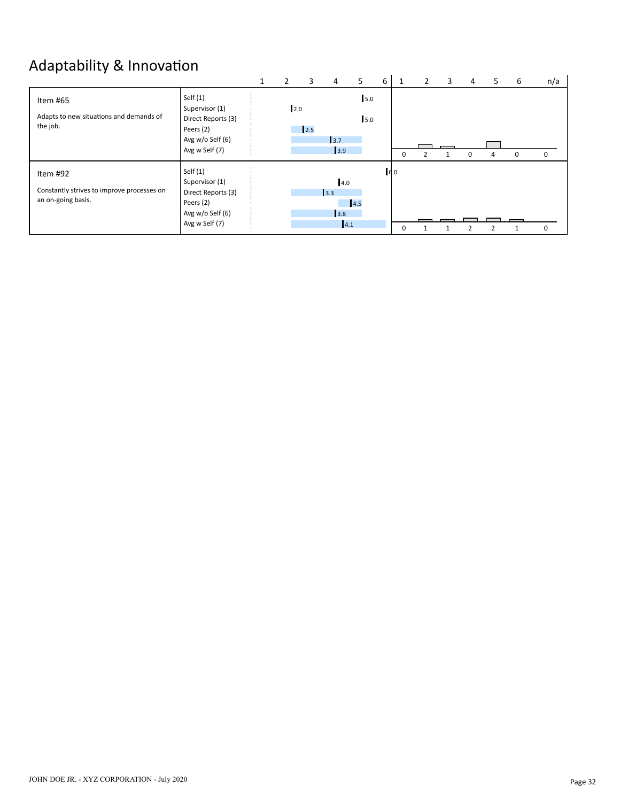### Adaptability & Innovation

|                                                                              |                                                                                                       | 1 | 2   | 3   | 4                        | 5.          | 6 |          | 2 | 3 | 4        | 5. | 6 | n/a         |
|------------------------------------------------------------------------------|-------------------------------------------------------------------------------------------------------|---|-----|-----|--------------------------|-------------|---|----------|---|---|----------|----|---|-------------|
| Item #65<br>Adapts to new situations and demands of<br>the job.              | Self $(1)$<br>Supervisor (1)<br>Direct Reports (3)<br>Peers (2)<br>Avg w/o Self (6)<br>Avg w Self (7) |   | 2.0 | 2.5 | 3.7<br>3.9               | 15.0<br>5.0 |   | 0        |   |   | $\Omega$ | 4  | 0 | $\mathbf 0$ |
| Item #92<br>Constantly strives to improve processes on<br>an on-going basis. | Self $(1)$<br>Supervisor (1)<br>Direct Reports (3)<br>Peers (2)<br>Avg w/o Self (6)<br>Avg w Self (7) |   |     |     | 4.0<br>3.3<br>3.8<br>4.1 | 4.5         |   | 6.0<br>0 |   |   |          |    |   | $\Omega$    |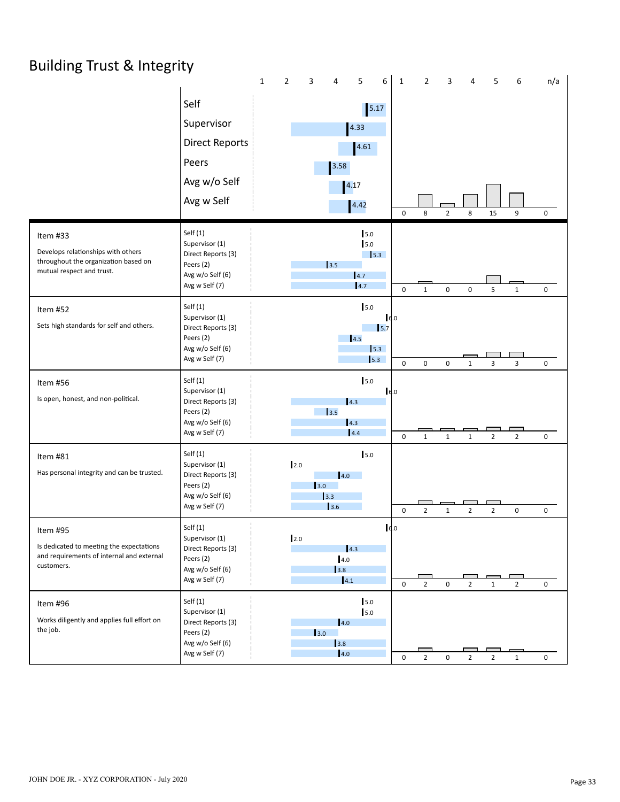### Building Trust & Integrity

|                                                                                                                     |                                                                                                       | $\mathbf 1$ | $\mathbf{2}$ | 3                      | 4                               | 5                              | 6                                          | $\mathbf{1}$ | $\mathbf{2}$   | 3                   | 4              | 5              | 6              | n/a                 |
|---------------------------------------------------------------------------------------------------------------------|-------------------------------------------------------------------------------------------------------|-------------|--------------|------------------------|---------------------------------|--------------------------------|--------------------------------------------|--------------|----------------|---------------------|----------------|----------------|----------------|---------------------|
|                                                                                                                     | Self<br>Supervisor<br><b>Direct Reports</b><br>Peers                                                  |             |              |                        | 3.58                            | $\boxed{5.17}$<br>4.33<br>4.61 |                                            |              |                |                     |                |                |                |                     |
|                                                                                                                     | Avg w/o Self                                                                                          |             |              |                        |                                 | 4.17                           |                                            |              |                |                     |                |                |                |                     |
|                                                                                                                     | Avg w Self                                                                                            |             |              |                        |                                 | 4.42                           |                                            | $\mathsf 0$  | 8              | $\overline{2}$      | 8              | 15             | 9              | 0                   |
| Item #33<br>Develops relationships with others<br>throughout the organization based on<br>mutual respect and trust. | Self $(1)$<br>Supervisor (1)<br>Direct Reports (3)<br>Peers (2)<br>Avg w/o Self (6)<br>Avg w Self (7) |             |              |                        | 3.5                             | 5.0<br>5.0<br> 4.7<br>4.7      | $\vert$ 5.3                                | $\mathbf 0$  | $\mathbf{1}$   | 0                   | $\mathsf 0$    | 5              | $\mathbf 1$    | 0                   |
| Item #52<br>Sets high standards for self and others.                                                                | Self $(1)$<br>Supervisor (1)<br>Direct Reports (3)<br>Peers (2)<br>Avg w/o Self (6)<br>Avg w Self (7) |             |              |                        |                                 | 5.0<br>4.5                     | $I_{6.0}$<br>$\mathsf{I}5.7$<br>5.3<br>5.3 | $\mathbf 0$  | $\mathbf 0$    | 0                   | $\mathbf{1}$   | 3              | 3              | $\mathbf 0$         |
| Item #56<br>Is open, honest, and non-political.                                                                     | Self $(1)$<br>Supervisor (1)<br>Direct Reports (3)<br>Peers (2)<br>Avg w/o Self (6)<br>Avg w Self (7) |             |              |                        | 3.5                             | $5.0$<br>4.3<br>4.3<br> 4.4    | $\vert$ $\epsilon$ .0                      | $\mathsf 0$  | $\mathbf{1}$   | $\mathbf{1}$        | $\mathbf{1}$   | $\overline{2}$ | $\overline{2}$ | $\mathbf 0$         |
| Item #81<br>Has personal integrity and can be trusted.                                                              | Self $(1)$<br>Supervisor (1)<br>Direct Reports (3)<br>Peers (2)<br>Avg w/o Self (6)<br>Avg w Self (7) |             | 2.0          | 3.0                    | 4.0<br>3.3<br>3.6               | 5.0                            |                                            | $\mathsf 0$  | $\overline{2}$ | $\mathbf{1}$        | $\overline{2}$ | $\overline{2}$ | $\mathsf 0$    | 0                   |
| Item #95<br>Is dedicated to meeting the expectations<br>and requirements of internal and external<br>customers.     | Self $(1)$<br>Supervisor (1)<br>Direct Reports (3)<br>Peers (2)<br>Avg w/o Self (6)<br>Avg w Self (7) |             | 2.0          |                        | 4.0<br>3.8<br>$\vert 4.1 \vert$ | 4.3                            | 6.0                                        | $\mathbf 0$  | $\overline{2}$ | 0                   | $\overline{2}$ | $\mathbf{1}$   | $\overline{2}$ | 0                   |
| Item #96<br>Works diligently and applies full effort on<br>the job.                                                 | Self $(1)$<br>Supervisor (1)<br>Direct Reports (3)<br>Peers (2)<br>Avg w/o Self (6)<br>Avg w Self (7) |             |              | $\vert$ <sub>3.0</sub> | 4.0<br>3.8<br>4.0               | 5.0<br>5.0                     |                                            | $\mathbf 0$  | $\overline{2}$ | $\mathsf{O}\xspace$ | $\overline{2}$ | $\overline{2}$ | $\mathbf{1}$   | $\mathsf{O}\xspace$ |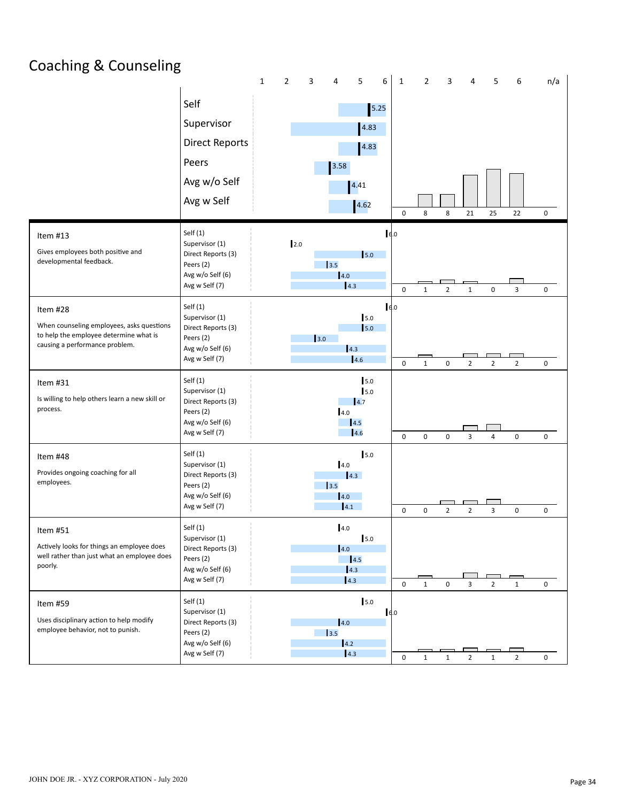### Coaching & Counseling

|                                                                                                                                   |                                                                                                       | $\mathbf 1$ | $\mathbf{2}$ | 3   | $\overline{4}$           | 5                                       | 6   | $\mathbf{1}$        | $\overline{2}$ | 3              | 4              | 5              | 6              | n/a         |
|-----------------------------------------------------------------------------------------------------------------------------------|-------------------------------------------------------------------------------------------------------|-------------|--------------|-----|--------------------------|-----------------------------------------|-----|---------------------|----------------|----------------|----------------|----------------|----------------|-------------|
|                                                                                                                                   | Self                                                                                                  |             |              |     |                          | 5.25                                    |     |                     |                |                |                |                |                |             |
|                                                                                                                                   | Supervisor                                                                                            |             |              |     |                          | 4.83                                    |     |                     |                |                |                |                |                |             |
|                                                                                                                                   | <b>Direct Reports</b>                                                                                 |             |              |     |                          | 4.83                                    |     |                     |                |                |                |                |                |             |
|                                                                                                                                   | Peers                                                                                                 |             |              |     | 3.58                     |                                         |     |                     |                |                |                |                |                |             |
|                                                                                                                                   | Avg w/o Self                                                                                          |             |              |     |                          | 4.41                                    |     |                     |                |                |                |                |                |             |
|                                                                                                                                   | Avg w Self                                                                                            |             |              |     |                          |                                         |     |                     |                |                |                |                |                |             |
|                                                                                                                                   |                                                                                                       |             |              |     |                          | 4.62                                    |     | $\mathsf{O}\xspace$ | 8              | 8              | 21             | 25             | 22             | 0           |
| Item #13<br>Gives employees both positive and<br>developmental feedback.                                                          | Self $(1)$<br>Supervisor (1)<br>Direct Reports (3)<br>Peers (2)<br>Avg w/o Self (6)                   |             | 2.0          |     | 3.5<br>4.0               | 5.0                                     | 6.0 |                     |                |                |                |                |                |             |
|                                                                                                                                   | Avg w Self (7)                                                                                        |             |              |     |                          | 4.3                                     |     | $\mathsf 0$         | $\mathbf{1}$   | $\overline{2}$ | $\mathbf 1$    | $\pmb{0}$      | 3              | $\mathbf 0$ |
| Item #28<br>When counseling employees, asks questions<br>to help the employee determine what is<br>causing a performance problem. | Self $(1)$<br>Supervisor (1)<br>Direct Reports (3)<br>Peers (2)<br>Avg w/o Self (6)                   |             |              | 3.0 |                          | 5.0<br>$\mathsf{I}5.0$<br> 4.3          | 6.0 |                     |                |                |                |                |                |             |
|                                                                                                                                   | Avg w Self (7)                                                                                        |             |              |     |                          | 4.6                                     |     | $\mathsf 0$         | $\mathbf{1}$   | 0              | $\overline{2}$ | $\overline{2}$ | $\overline{2}$ | $\pmb{0}$   |
| Item #31<br>Is willing to help others learn a new skill or<br>process.                                                            | Self(1)<br>Supervisor (1)<br>Direct Reports (3)<br>Peers (2)<br>Avg w/o Self (6)<br>Avg w Self (7)    |             |              |     | 4.0                      | 5.0<br>5.0<br>$\vert 4.7$<br>4.5<br>4.6 |     | $\mathbf 0$         | 0              | 0              | 3              | 4              | $\pmb{0}$      | $\mathbf 0$ |
| Item #48<br>Provides ongoing coaching for all<br>employees.                                                                       | Self(1)<br>Supervisor (1)<br>Direct Reports (3)<br>Peers (2)<br>Avg w/o Self (6)<br>Avg w Self (7)    |             |              |     | 4.0<br>3.5<br>4.0<br>4.1 | 5.0<br>4.3                              |     | $\mathbf 0$         | $\mathbf 0$    | $\overline{2}$ | $\overline{2}$ | 3              | $\pmb{0}$      | 0           |
| Item #51<br>Actively looks for things an employee does<br>well rather than just what an employee does<br>poorly.                  | Self (1)<br>Supervisor (1)<br>Direct Reports (3)<br>Peers (2)<br>Avg w/o Self (6)<br>Avg w Self (7)   |             |              |     | 4.0<br> 4.0              | 5.0<br>4.5<br>4.3<br>4.3                |     | $\mathbf 0$         | $\mathbf{1}$   | 0              | 3              | $\overline{2}$ | $\mathbf{1}$   | 0           |
| Item #59<br>Uses disciplinary action to help modify<br>employee behavior, not to punish.                                          | Self $(1)$<br>Supervisor (1)<br>Direct Reports (3)<br>Peers (2)<br>Avg w/o Self (6)<br>Avg w Self (7) |             |              |     | 4.0<br>3.5<br>4.2        | 5.0<br>4.3                              | 6.0 | $\mathbf 0$         | $\mathbf{1}$   | $\mathbf{1}$   | $\overline{2}$ | $\mathbf{1}$   | $\overline{2}$ | 0           |
|                                                                                                                                   |                                                                                                       |             |              |     |                          |                                         |     |                     |                |                |                |                |                |             |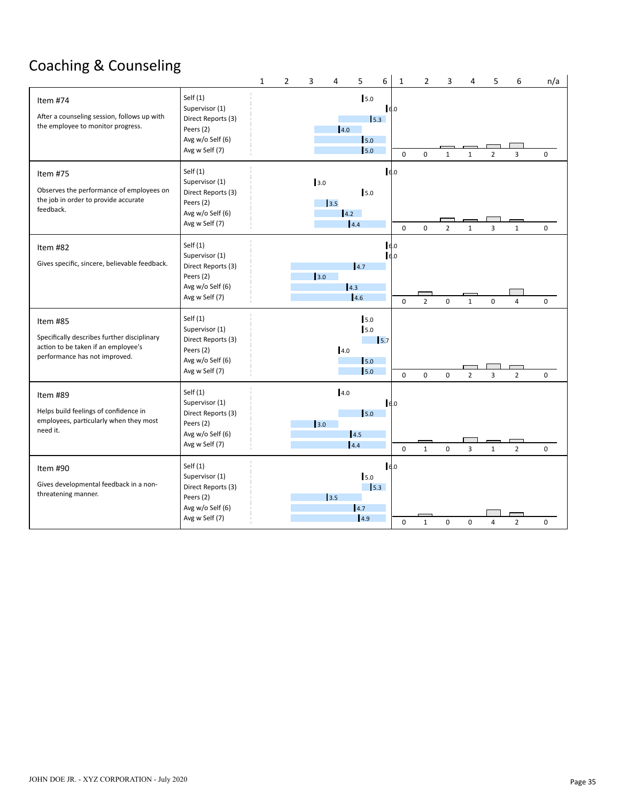### Coaching & Counseling

|                                                                                                                                 |                                                                                                       | $\mathbf{1}$ | $\overline{2}$ | 3   | $\overline{4}$ | 5                                                                             | 6          | $\mathbf{1}$           | $\overline{2}$ | 3              | 4              | 5              | 6              | n/a |
|---------------------------------------------------------------------------------------------------------------------------------|-------------------------------------------------------------------------------------------------------|--------------|----------------|-----|----------------|-------------------------------------------------------------------------------|------------|------------------------|----------------|----------------|----------------|----------------|----------------|-----|
| Item #74<br>After a counseling session, follows up with<br>the employee to monitor progress.                                    | Self $(1)$<br>Supervisor (1)<br>Direct Reports (3)<br>Peers (2)<br>Avg w/o Self (6)<br>Avg w Self (7) |              |                |     | 4.0            | 5.0<br>$\mathsf{I}_{5.3}$<br>$\vert$ <sub>5.0</sub><br>$\vert$ <sub>5.0</sub> | 6.0        | $\mathbf 0$            | 0              | $\mathbf{1}$   | $\mathbf{1}$   | $\overline{2}$ | $\overline{3}$ | 0   |
| Item #75<br>Observes the performance of employees on<br>the job in order to provide accurate<br>feedback.                       | Self $(1)$<br>Supervisor (1)<br>Direct Reports (3)<br>Peers (2)<br>Avg w/o Self (6)<br>Avg w Self (7) |              |                | 3.0 | 3.5<br>4.2     | 5.0<br>4.4                                                                    | 6.0        | $\mathbf 0$            | $\mathbf 0$    | $\overline{2}$ | $\mathbf{1}$   | 3              | $\mathbf{1}$   | 0   |
| Item #82<br>Gives specific, sincere, believable feedback.                                                                       | Self $(1)$<br>Supervisor (1)<br>Direct Reports (3)<br>Peers (2)<br>Avg w/o Self (6)<br>Avg w Self (7) |              |                | 3.0 |                | 14.7<br>4.3<br>14.6                                                           |            | 6.0<br>6.0<br>$\Omega$ | $\overline{2}$ | $\mathbf 0$    | $\mathbf{1}$   | $\mathbf 0$    | $\overline{4}$ | 0   |
| Item #85<br>Specifically describes further disciplinary<br>action to be taken if an employee's<br>performance has not improved. | Self $(1)$<br>Supervisor (1)<br>Direct Reports (3)<br>Peers (2)<br>Avg w/o Self (6)<br>Avg w Self (7) |              |                |     | 4.0            | 5.0<br>5.0<br>$\mathsf{I}_{5.0}$<br>5.0                                       | 15.7       | $\Omega$               | $\mathbf{0}$   | $\mathbf 0$    | $\overline{2}$ | 3              | $\overline{2}$ | 0   |
| Item #89<br>Helps build feelings of confidence in<br>employees, particularly when they most<br>need it.                         | Self $(1)$<br>Supervisor (1)<br>Direct Reports (3)<br>Peers (2)<br>Avg w/o Self (6)<br>Avg w Self (7) |              |                | 3.0 | 4.0            | $\mathsf{I}_{5.0}$<br>4.5<br>14.4                                             | 6.0        | $\Omega$               | $\mathbf{1}$   | $\mathbf 0$    | $\overline{3}$ | $\mathbf{1}$   | $\overline{2}$ | 0   |
| Item #90<br>Gives developmental feedback in a non-<br>threatening manner.                                                       | Self $(1)$<br>Supervisor (1)<br>Direct Reports (3)<br>Peers (2)<br>Avg w/o Self (6)<br>Avg w Self (7) |              |                |     | 3.5            | 5.0<br>4.7<br> 4.9                                                            | 6.0<br>5.3 | 0                      | $\mathbf{1}$   | 0              | 0              | 4              | $\overline{2}$ | 0   |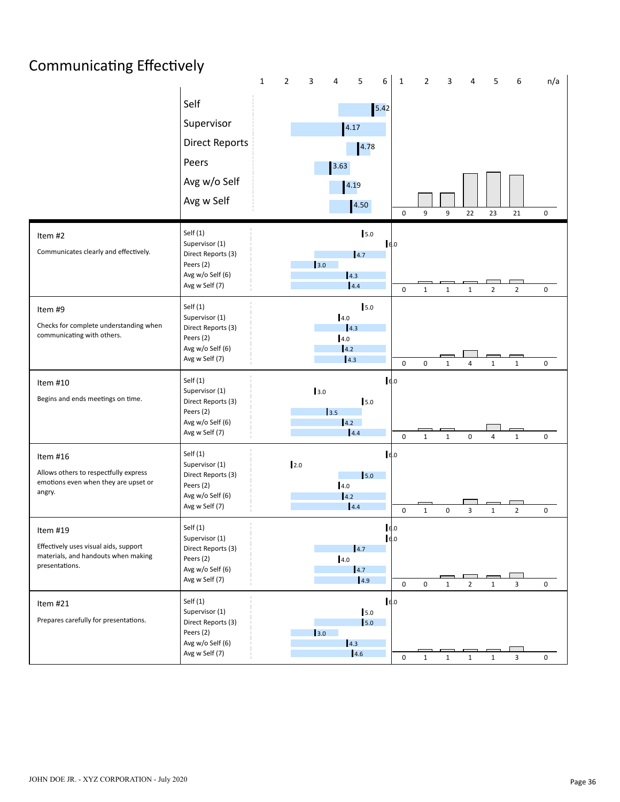## Communicating Effectively

|                                                                                                            |                                                                                                       | $\mathbf 1$ | $\mathbf{2}$ | 3   | 4                          | 5                               | 6            | $\mathbf{1}$ | $\mathbf{2}$ | 3            | 4              | 5              | 6                       | n/a                 |
|------------------------------------------------------------------------------------------------------------|-------------------------------------------------------------------------------------------------------|-------------|--------------|-----|----------------------------|---------------------------------|--------------|--------------|--------------|--------------|----------------|----------------|-------------------------|---------------------|
|                                                                                                            | Self<br>Supervisor<br><b>Direct Reports</b><br>Peers<br>Avg w/o Self<br>Avg w Self                    |             |              |     | 3.63                       | 4.17<br>4.78<br>4.19<br>4.50    | $5.42$       | $\pmb{0}$    | 9            | 9            | 22             | 23             | 21                      | 0                   |
| Item #2<br>Communicates clearly and effectively.                                                           | Self $(1)$<br>Supervisor (1)<br>Direct Reports (3)<br>Peers (2)<br>Avg w/o Self (6)<br>Avg w Self (7) |             |              | 3.0 |                            | 5.0<br>4.7<br> 4.3 <br>4.4      | 6.0          | $\mathbf 0$  | $1\,$        | $\mathbf{1}$ | $\mathbf{1}$   | $\overline{2}$ | $\overline{2}$          | 0                   |
| Item #9<br>Checks for complete understanding when<br>communicating with others.                            | Self $(1)$<br>Supervisor (1)<br>Direct Reports (3)<br>Peers (2)<br>Avg w/o Self (6)<br>Avg w Self (7) |             |              |     | 4.0<br>4.0<br>14.2<br> 4.3 | 5.0<br> 4.3                     |              | $\mathbf 0$  | $\mathbf 0$  | $\mathbf{1}$ | $\overline{4}$ | $\mathbf{1}$   | $\mathbf 1$             | $\mathbf 0$         |
| Item #10<br>Begins and ends meetings on time.                                                              | Self $(1)$<br>Supervisor (1)<br>Direct Reports (3)<br>Peers (2)<br>Avg w/o Self (6)<br>Avg w Self (7) |             |              | 3.0 | 3.5<br>4.2                 | 5.0<br>4.4                      | 16.0         | $\pmb{0}$    | $\mathbf{1}$ | $\mathbf{1}$ | 0              | $\overline{4}$ | $\mathbf 1$             | 0                   |
| Item #16<br>Allows others to respectfully express<br>emotions even when they are upset or<br>angry.        | Self $(1)$<br>Supervisor (1)<br>Direct Reports (3)<br>Peers (2)<br>Avg w/o Self (6)<br>Avg w Self (7) |             | 2.0          |     | 4.0<br>14.2                | 5.0<br>4.4                      | 6.0          | $\mathbf 0$  | $\mathbf{1}$ | 0            | 3              | $\mathbf{1}$   | $\overline{2}$          | 0                   |
| Item #19<br>Effectively uses visual aids, support<br>materials, and handouts when making<br>presentations. | Self $(1)$<br>Supervisor (1)<br>Direct Reports (3)<br>Peers (2)<br>Avg w/o Self (6)<br>Avg w Self (7) |             |              |     | 4.0                        | 4.7<br>$\vert 4.7 \vert$<br>4.9 | 16.0<br>16.0 | $\pmb{0}$    | 0            | $\mathbf{1}$ | $\overline{2}$ | $\mathbf 1$    | 3                       | $\mathsf{O}\xspace$ |
| Item #21<br>Prepares carefully for presentations.                                                          | Self $(1)$<br>Supervisor (1)<br>Direct Reports (3)<br>Peers (2)<br>Avg w/o Self (6)<br>Avg w Self (7) |             |              | 3.0 |                            | $5.0$<br>5.0<br>4.3<br>4.6      | 6.0          | 0            | $\mathbf 1$  | $\mathbf{1}$ | $\mathbf{1}$   | $\mathbf 1$    | $\overline{\mathbf{3}}$ | $\mathsf{O}\xspace$ |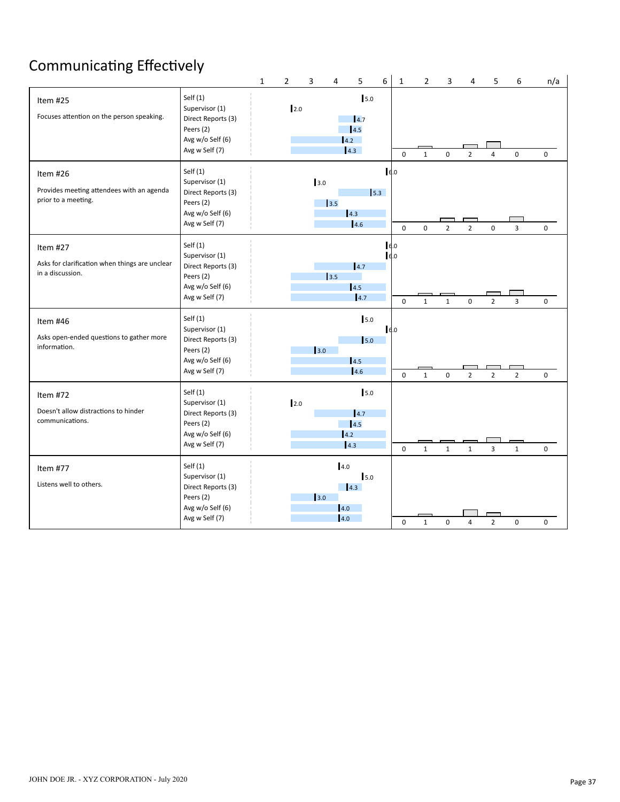## Communicating Effectively

|                                                                                |                                                                                                       | $\mathbf{1}$ | $\overline{2}$ | 3    | 4                  | 5                                                 | 6          | $\mathbf{1}$           | $\overline{2}$ | 3              | 4              | 5              | 6              | n/a         |
|--------------------------------------------------------------------------------|-------------------------------------------------------------------------------------------------------|--------------|----------------|------|--------------------|---------------------------------------------------|------------|------------------------|----------------|----------------|----------------|----------------|----------------|-------------|
| Item #25<br>Focuses attention on the person speaking.                          | Self $(1)$<br>Supervisor (1)<br>Direct Reports (3)<br>Peers (2)<br>Avg w/o Self (6)<br>Avg w Self (7) |              | 2.0            |      |                    | 5.0<br>$\vert 4.7$<br>4.5<br>4.2<br>4.3           |            | $\Omega$               | $\mathbf{1}$   | $\mathbf 0$    | $\overline{2}$ | $\overline{4}$ | $\mathbf 0$    | $\mathbf 0$ |
| Item #26<br>Provides meeting attendees with an agenda<br>prior to a meeting.   | Self $(1)$<br>Supervisor (1)<br>Direct Reports (3)<br>Peers (2)<br>Avg w/o Self (6)<br>Avg w Self (7) |              |                | 3.0  | 3.5                | 4.3<br>4.6                                        | 6.0<br>5.3 | $\Omega$               | $\Omega$       | $\overline{2}$ | $\overline{2}$ | $\mathbf 0$    | 3              | 0           |
| Item #27<br>Asks for clarification when things are unclear<br>in a discussion. | Self $(1)$<br>Supervisor (1)<br>Direct Reports (3)<br>Peers (2)<br>Avg w/o Self (6)<br>Avg w Self (7) |              |                |      | 3.5                | 4.7<br>14.5<br>4.7                                |            | 6.0<br>6.0<br>$\Omega$ | $\mathbf{1}$   | $\mathbf{1}$   | 0              | $\overline{2}$ | $\overline{3}$ | $\mathbf 0$ |
| Item #46<br>Asks open-ended questions to gather more<br>information.           | Self $(1)$<br>Supervisor (1)<br>Direct Reports (3)<br>Peers (2)<br>Avg w/o Self (6)<br>Avg w Self (7) |              |                | 3.0  |                    | 5.0<br>$\mathsf{I}$ <sub>5.0</sub><br>14.5<br>4.6 | 6.0        | $\mathbf 0$            | $\mathbf{1}$   | $\mathsf 0$    | $\overline{2}$ | $\overline{2}$ | $\overline{2}$ | 0           |
| Item #72<br>Doesn't allow distractions to hinder<br>communications.            | Self $(1)$<br>Supervisor (1)<br>Direct Reports (3)<br>Peers (2)<br>Avg w/o Self (6)<br>Avg w Self (7) |              | 2.0            |      |                    | 5.0<br>4.7<br>4.5<br>4.2<br> 4.3                  |            | $\mathbf 0$            | $\mathbf{1}$   | $\mathbf{1}$   | $\mathbf{1}$   | 3              | $\mathbf{1}$   | 0           |
| Item #77<br>Listens well to others.                                            | Self $(1)$<br>Supervisor (1)<br>Direct Reports (3)<br>Peers (2)<br>Avg w/o Self (6)<br>Avg w Self (7) |              |                | 13.0 | 4.0<br>4.0<br> 4.0 | 15.0<br>4.3                                       |            | 0                      | $\mathbf 1$    | 0              | $\overline{4}$ | $\overline{2}$ | 0              | 0           |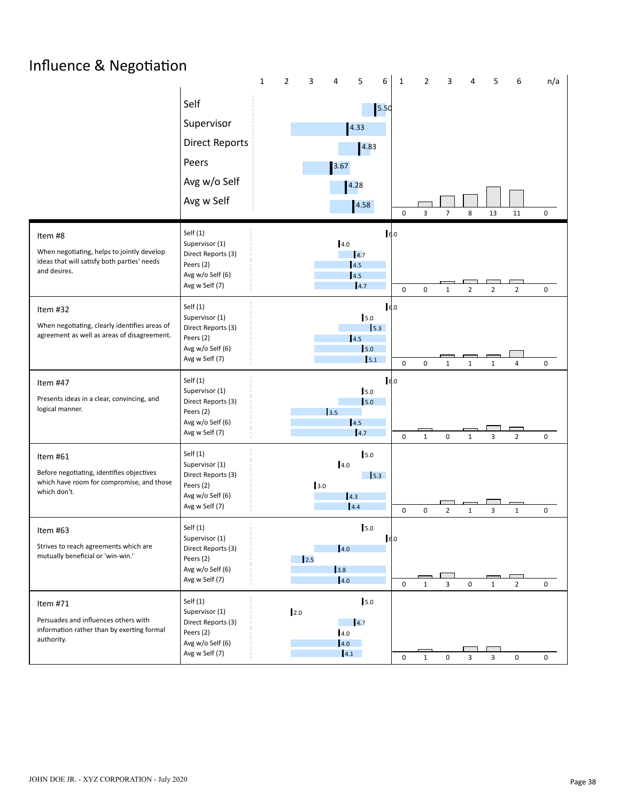## Influence & Negotiation

|                                                                                                                      |                                                                                                       | $\mathbf{1}$ | 2   | 3    | $\overline{4}$    | 5                                           | 6    | $\mathbf{1}$             | $\overline{2}$              | 3                 | 4                            | 5                 | 6                                | n/a                      |
|----------------------------------------------------------------------------------------------------------------------|-------------------------------------------------------------------------------------------------------|--------------|-----|------|-------------------|---------------------------------------------|------|--------------------------|-----------------------------|-------------------|------------------------------|-------------------|----------------------------------|--------------------------|
|                                                                                                                      | Self<br>Supervisor<br><b>Direct Reports</b><br>Peers<br>Avg w/o Self                                  |              |     |      | $3.67$            | 4.33<br>4.83                                | 5.50 |                          |                             |                   |                              |                   |                                  |                          |
|                                                                                                                      | Avg w Self                                                                                            |              |     |      |                   | 4.28                                        |      |                          |                             |                   |                              |                   |                                  |                          |
|                                                                                                                      |                                                                                                       |              |     |      |                   | 4.58                                        |      | 0                        | 3                           | $\overline{7}$    | 8                            | 13                | 11                               | 0                        |
| Item #8<br>When negotiating, helps to jointly develop<br>ideas that will satisfy both parties' needs<br>and desires. | Self $(1)$<br>Supervisor (1)<br>Direct Reports (3)<br>Peers (2)<br>Avg w/o Self (6)<br>Avg w Self (7) |              |     |      | 4.0               | $\vert$ 4.7<br>4.5<br>4.5<br> 4.7           | 6.0  | $\mathbf 0$              | $\mathbf 0$                 | $\mathbf{1}$      | $\overline{2}$               | $\overline{2}$    | $\overline{2}$                   | 0                        |
| Item #32<br>When negotiating, clearly identifies areas of<br>agreement as well as areas of disagreement.             | Self $(1)$<br>Supervisor (1)<br>Direct Reports (3)<br>Peers (2)<br>Avg w/o Self (6)<br>Avg w Self (7) |              |     |      |                   | 5.0<br>$\vert$ 5.3<br>4.5<br>5.0<br>5.1     | 6.0  |                          |                             |                   |                              |                   |                                  |                          |
| Item #47<br>Presents ideas in a clear, convincing, and<br>logical manner.                                            | Self $(1)$<br>Supervisor (1)<br>Direct Reports (3)<br>Peers (2)<br>Avg w/o Self (6)<br>Avg w Self (7) |              |     |      | 3.5               | 5.0<br>$\vert$ <sub>5.0</sub><br>4.5<br>4.7 | 6.0  | $\mathbf 0$<br>$\pmb{0}$ | $\mathbf 0$<br>$\mathbf{1}$ | $\mathbf{1}$<br>0 | $\mathbf{1}$<br>$\mathbf{1}$ | $\mathbf{1}$<br>3 | $\overline{4}$<br>$\overline{2}$ | $\mathbf 0$<br>$\pmb{0}$ |
| Item #61<br>Before negotiating, identifies objectives<br>which have room for compromise, and those<br>which don't.   | Self(1)<br>Supervisor (1)<br>Direct Reports (3)<br>Peers (2)<br>Avg w/o Self (6)<br>Avg w Self (7)    |              |     | 3.0  | 4.0<br>4.3        | 5.0<br>$\frac{1}{5.3}$<br>4.4               |      | $\pmb{0}$                | $\mathbf 0$                 | $\overline{2}$    | $\mathbf{1}$                 | 3                 | $\mathbf 1$                      | 0                        |
| Item #63<br>Strives to reach agreements which are<br>mutually beneficial or 'win-win.'                               | Self $(1)$<br>Supervisor (1)<br>Direct Reports (3)<br>Peers (2)<br>Avg w/o Self (6)<br>Avg w Self (7) |              |     | 12.5 | 4.0<br>3.8<br>4.0 | 5.0                                         | 16.0 | $\mathbf 0$              | $\mathbf{1}$                | 3                 | $\mathsf 0$                  | $\mathbf{1}$      | $\overline{2}$                   | 0                        |
| Item #71<br>Persuades and influences others with<br>information rather than by exerting formal<br>authority.         | Self $(1)$<br>Supervisor (1)<br>Direct Reports (3)<br>Peers (2)<br>Avg w/o Self (6)<br>Avg w Self (7) |              | 2.0 |      | 4.0<br>4.0<br>4.1 | 5.0<br>$\vert$ 4.7                          |      | 0                        | $\mathbf 1$                 | $\mathsf 0$       | 3                            | $\mathbf{3}$      | $\mathsf{O}\xspace$              | $\mathsf{O}\xspace$      |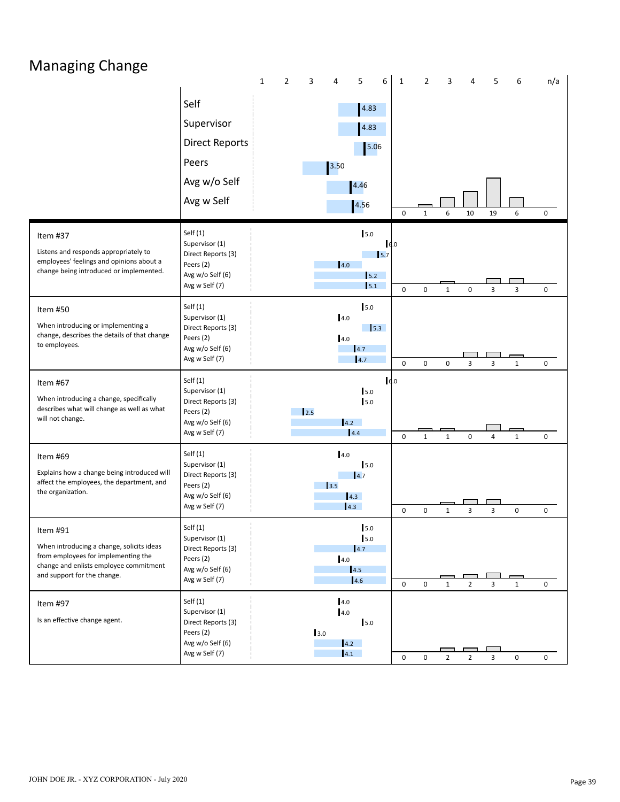### Managing Change

|                                                                                                                                                                       |                                                                                                       | $\mathbf{1}$ | $\overline{2}$ | 3    | 4                        | 5                                     | 6          | $\mathbf{1}$ | $\overline{2}$ | 3              | 4              | 5              | 6            | n/a |
|-----------------------------------------------------------------------------------------------------------------------------------------------------------------------|-------------------------------------------------------------------------------------------------------|--------------|----------------|------|--------------------------|---------------------------------------|------------|--------------|----------------|----------------|----------------|----------------|--------------|-----|
|                                                                                                                                                                       | Self<br>Supervisor<br><b>Direct Reports</b><br>Peers<br>Avg w/o Self<br>Avg w Self                    |              |                |      | 3.50                     | 4.83<br>4.83<br>5.06<br>4.46<br>4.56  |            | $\pmb{0}$    | $\mathbf 1$    | 6              | 10             | 19             | 6            | 0   |
| Item #37<br>Listens and responds appropriately to<br>employees' feelings and opinions about a<br>change being introduced or implemented.                              | Self $(1)$<br>Supervisor (1)<br>Direct Reports (3)<br>Peers (2)<br>Avg w/o Self (6)<br>Avg w Self (7) |              |                |      | 4.0                      | 5.0<br>5.2<br>5.1                     | 6.0<br>5.7 | $\mathbf 0$  | $\mathbf 0$    | $\mathbf{1}$   | 0              | 3              | 3            | 0   |
| Item #50<br>When introducing or implementing a<br>change, describes the details of that change<br>to employees.                                                       | Self $(1)$<br>Supervisor (1)<br>Direct Reports (3)<br>Peers (2)<br>Avg w/o Self (6)<br>Avg w Self (7) |              |                |      | 4.0<br>4.0               | 5.0<br>$\frac{1}{5.3}$<br>4.7<br>4.7  |            | $\mathsf 0$  | $\mathbf 0$    | 0              | 3              | 3              | $\mathbf 1$  | 0   |
| Item #67<br>When introducing a change, specifically<br>describes what will change as well as what<br>will not change.                                                 | Self $(1)$<br>Supervisor (1)<br>Direct Reports (3)<br>Peers (2)<br>Avg w/o Self (6)<br>Avg w Self (7) |              |                | 12.5 | 4.2                      | 5.0<br>5.0<br>4.4                     | 6.0        | $\pmb{0}$    | $\mathbf 1$    | $\mathbf{1}$   | 0              | $\overline{4}$ | $\mathbf{1}$ | 0   |
| Item #69<br>Explains how a change being introduced will<br>affect the employees, the department, and<br>the organization.                                             | Self $(1)$<br>Supervisor (1)<br>Direct Reports (3)<br>Peers (2)<br>Avg w/o Self (6)<br>Avg w Self (7) |              |                |      | 4.0<br>3.5               | 5.0<br>$\overline{4.7}$<br>4.3<br>4.3 |            | $\pmb{0}$    | 0              | $\mathbf{1}$   | 3              | 3              | 0            | 0   |
| Item #91<br>When introducing a change, solicits ideas<br>from employees for implementing the<br>change and enlists employee commitment<br>and support for the change. | Self $(1)$<br>Supervisor (1)<br>Direct Reports (3)<br>Peers (2)<br>Avg w/o Self (6)<br>Avg w Self (7) |              |                |      | 4.0                      | 5.0<br>5.0<br>4.7<br>4.5<br>4.6       |            | 0            | 0              | $\mathbf{1}$   | $\overline{2}$ | 3              | $\mathbf{1}$ | 0   |
| Item #97<br>Is an effective change agent.                                                                                                                             | Self $(1)$<br>Supervisor (1)<br>Direct Reports (3)<br>Peers (2)<br>Avg w/o Self (6)<br>Avg w Self (7) |              |                | 3.0  | 4.0<br>4.0<br>4.2<br>4.1 | 5.0                                   |            | 0            | $\mathbf 0$    | $\overline{2}$ | $\overline{2}$ | 3              | 0            | 0   |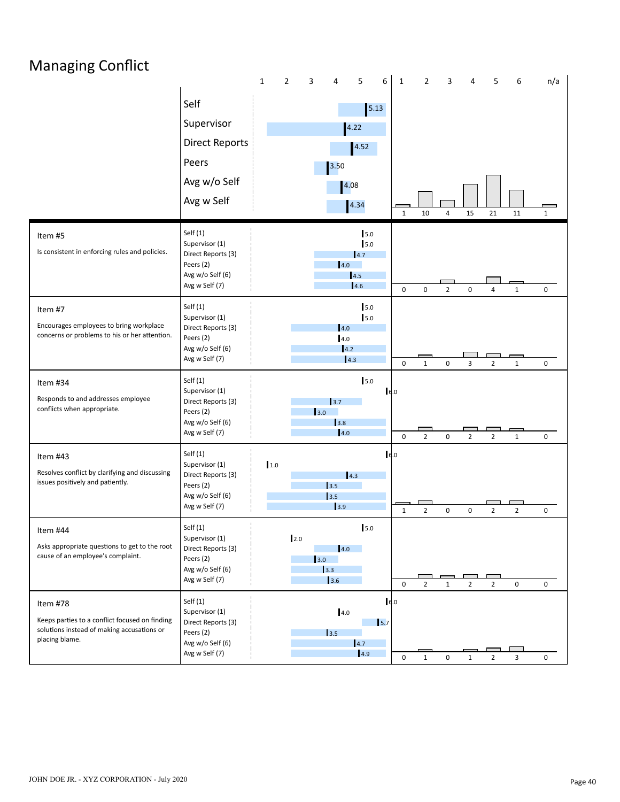## Managing Conflict

|                                                                                                                            |                                                                                                       | $\mathbf 1$ | $\overline{2}$ | 3                                         | 4                                | 5                                 | 6                              | $\mathbf{1}$ | $\overline{2}$ | 3                   | 4              | 5              | 6                   | n/a                 |
|----------------------------------------------------------------------------------------------------------------------------|-------------------------------------------------------------------------------------------------------|-------------|----------------|-------------------------------------------|----------------------------------|-----------------------------------|--------------------------------|--------------|----------------|---------------------|----------------|----------------|---------------------|---------------------|
|                                                                                                                            | Self                                                                                                  |             |                |                                           |                                  | 5.13                              |                                |              |                |                     |                |                |                     |                     |
|                                                                                                                            | Supervisor                                                                                            |             |                |                                           | 4.22                             |                                   |                                |              |                |                     |                |                |                     |                     |
|                                                                                                                            | <b>Direct Reports</b>                                                                                 |             |                |                                           |                                  | 4.52                              |                                |              |                |                     |                |                |                     |                     |
|                                                                                                                            | Peers                                                                                                 |             |                |                                           | 3.50                             |                                   |                                |              |                |                     |                |                |                     |                     |
|                                                                                                                            | Avg w/o Self                                                                                          |             |                |                                           | 4.08                             |                                   |                                |              |                |                     |                |                |                     |                     |
|                                                                                                                            | Avg w Self                                                                                            |             |                |                                           |                                  | 4.34                              |                                |              |                |                     |                |                |                     |                     |
|                                                                                                                            |                                                                                                       |             |                |                                           |                                  |                                   |                                | $\mathbf{1}$ | 10             | 4                   | 15             | 21             | 11                  | $\mathbf{1}$        |
| Item #5<br>Is consistent in enforcing rules and policies.                                                                  | Self $(1)$<br>Supervisor (1)<br>Direct Reports (3)<br>Peers (2)<br>Avg w/o Self (6)<br>Avg w Self (7) |             |                |                                           | 14.0                             | 5.0<br>5.0<br>4.7<br> 4.5 <br>4.6 |                                |              |                |                     |                |                |                     |                     |
|                                                                                                                            |                                                                                                       |             |                |                                           |                                  |                                   |                                | $\mathbf 0$  | $\mathbf 0$    | $\overline{2}$      | $\mathsf 0$    | $\overline{4}$ | $\mathbf{1}$        | $\mathbf 0$         |
| Item #7<br>Encourages employees to bring workplace<br>concerns or problems to his or her attention.                        | Self $(1)$<br>Supervisor (1)<br>Direct Reports (3)<br>Peers (2)<br>Avg w/o Self (6)<br>Avg w Self (7) |             |                |                                           | 4.0<br>4.0<br>4.2<br>$\vert$ 4.3 | 5.0<br>5.0                        |                                | $\mathbf 0$  | $\mathbf{1}$   | $\pmb{0}$           | 3              | $\overline{2}$ | $\mathbf{1}$        | 0                   |
| Item #34<br>Responds to and addresses employee<br>conflicts when appropriate.                                              | Self $(1)$<br>Supervisor (1)<br>Direct Reports (3)<br>Peers (2)<br>Avg w/o Self (6)<br>Avg w Self (7) |             |                | 3.0                                       | 3.7<br>3.8<br> 4.0               | $5.0$                             | 6.0                            | $\mathbf 0$  | $\overline{2}$ | 0                   | $\overline{2}$ | $\overline{2}$ | $\mathbf{1}$        | 0                   |
| Item #43<br>Resolves conflict by clarifying and discussing<br>issues positively and patiently.                             | Self $(1)$<br>Supervisor (1)<br>Direct Reports (3)<br>Peers (2)<br>Avg w/o Self (6)<br>Avg w Self (7) | 1.0         |                | 3.5<br>3.5                                | 4.3 <br>$\vert$ <sub>3.9</sub>   |                                   | 16.0                           | $\mathbf{1}$ | $\overline{2}$ | 0                   | 0              | $\overline{2}$ | $\overline{2}$      | 0                   |
| Item #44<br>Asks appropriate questions to get to the root<br>cause of an employee's complaint.                             | Self $(1)$<br>Supervisor (1)<br>Direct Reports (3)<br>Peers (2)<br>Avg w/o Self (6)<br>Avg w Self (7) |             | 2.0            | 3.0<br>$\begin{array}{c} 3.3 \end{array}$ | 4.0<br>3.6                       | 5.0                               |                                | $\mathbf 0$  | $\overline{2}$ | $\mathbf{1}$        | $\overline{2}$ | $\overline{2}$ | $\mathsf{O}\xspace$ | $\mathsf{O}\xspace$ |
| Item #78<br>Keeps parties to a conflict focused on finding<br>solutions instead of making accusations or<br>placing blame. | Self $(1)$<br>Supervisor (1)<br>Direct Reports (3)<br>Peers (2)<br>Avg w/o Self (6)<br>Avg w Self (7) |             |                | 3.5                                       | 4.0                              | 4.7<br>4.9                        | 16.0<br>$\vert$ <sub>5.7</sub> | $\mathsf 0$  | $\mathbf 1$    | $\mathsf{O}\xspace$ | $\mathbf{1}$   | $2^{\circ}$    | $\mathbf{3}$        | 0                   |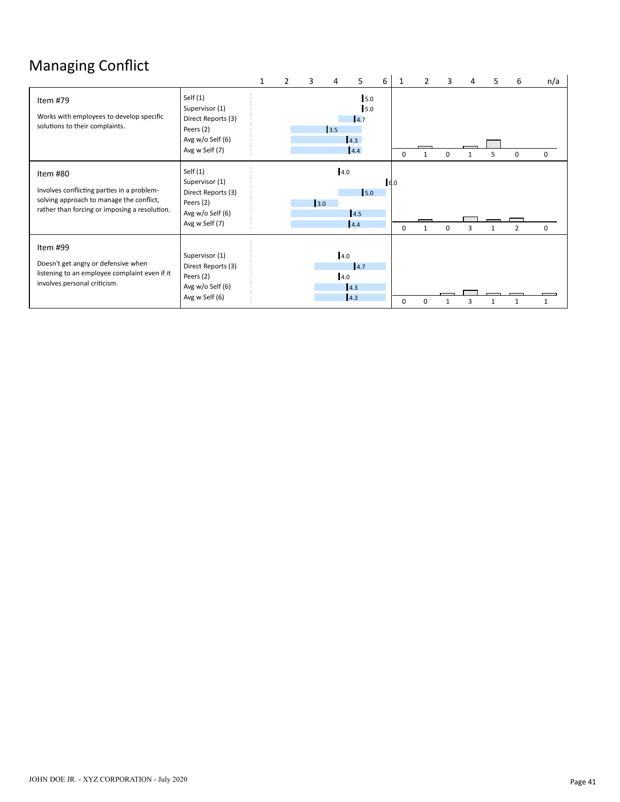## Managing Conflict

|                                                                                                                                                     |                                                                                                       | 1 | 3   | 4          | 5                                       | 6 | 1               |          | 3        | 4 | 5 | 6              | n/a         |
|-----------------------------------------------------------------------------------------------------------------------------------------------------|-------------------------------------------------------------------------------------------------------|---|-----|------------|-----------------------------------------|---|-----------------|----------|----------|---|---|----------------|-------------|
| Item #79<br>Works with employees to develop specific<br>solutions to their complaints.                                                              | Self $(1)$<br>Supervisor (1)<br>Direct Reports (3)<br>Peers (2)<br>Avg w/o Self (6)<br>Avg w Self (7) |   |     | 3.5        | 5.0<br>5.0<br>$\vert 4.7$<br>4.3<br>4.4 |   | $\Omega$        |          | $\Omega$ |   | 5 | 0              | $\Omega$    |
| Item #80<br>Involves conflicting parties in a problem-<br>solving approach to manage the conflict,<br>rather than forcing or imposing a resolution. | Self $(1)$<br>Supervisor (1)<br>Direct Reports (3)<br>Peers (2)<br>Avg w/o Self (6)<br>Avg w Self (7) |   | 3.0 | 4.0        | 5.0<br>4.5<br>4.4                       |   | 6.0<br>$\Omega$ |          | 0        | 3 | 1 | $\overline{2}$ | $\mathbf 0$ |
| Item #99<br>Doesn't get angry or defensive when<br>listening to an employee complaint even if it<br>involves personal criticism.                    | Supervisor (1)<br>Direct Reports (3)<br>Peers (2)<br>Avg w/o Self (6)<br>Avg w Self (6)               |   |     | 4.0<br>4.0 | 4.7<br>4.3<br>4.3                       |   | 0               | $\Omega$ |          | З |   |                |             |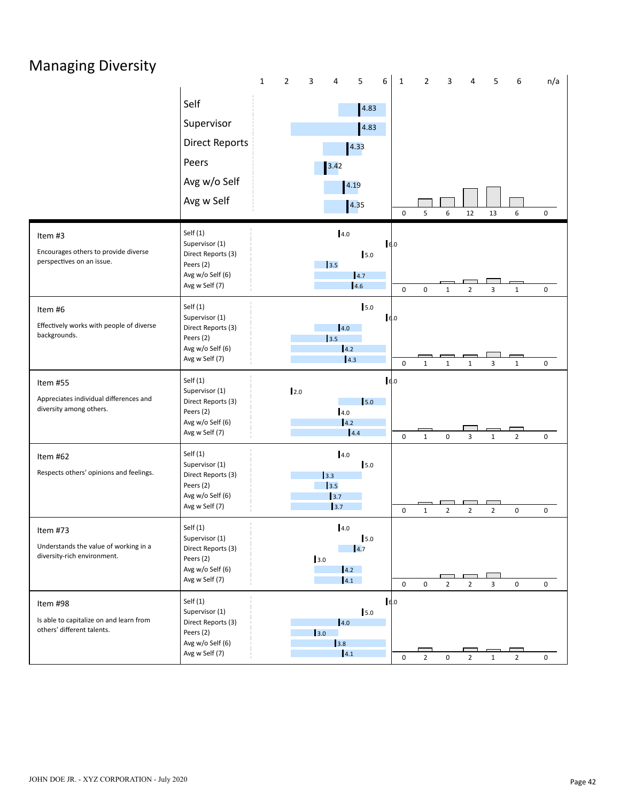### Managing Diversity

|                                                                                   |                                                                                                       | $\mathbf 1$ | $\overline{2}$ | 3    | $\overline{4}$                  | 5                    | 6    | $\mathbf{1}$ | $\overline{2}$ | 3                   | 4              | 5              | 6                   | n/a |
|-----------------------------------------------------------------------------------|-------------------------------------------------------------------------------------------------------|-------------|----------------|------|---------------------------------|----------------------|------|--------------|----------------|---------------------|----------------|----------------|---------------------|-----|
|                                                                                   | Self                                                                                                  |             |                |      |                                 | 4.83                 |      |              |                |                     |                |                |                     |     |
|                                                                                   | Supervisor                                                                                            |             |                |      |                                 | 4.83                 |      |              |                |                     |                |                |                     |     |
|                                                                                   | <b>Direct Reports</b>                                                                                 |             |                |      |                                 | 4.33                 |      |              |                |                     |                |                |                     |     |
|                                                                                   | Peers                                                                                                 |             |                |      |                                 |                      |      |              |                |                     |                |                |                     |     |
|                                                                                   |                                                                                                       |             |                |      | 3.42                            |                      |      |              |                |                     |                |                |                     |     |
|                                                                                   | Avg w/o Self                                                                                          |             |                |      | 4.19                            |                      |      |              |                |                     |                |                |                     |     |
|                                                                                   | Avg w Self                                                                                            |             |                |      |                                 | 4.35                 |      | $\mathbf 0$  | 5              | 6                   | 12             | 13             | 6                   | 0   |
| Item #3<br>Encourages others to provide diverse<br>perspectives on an issue.      | Self $(1)$<br>Supervisor (1)<br>Direct Reports (3)<br>Peers (2)<br>Avg w/o Self (6)<br>Avg w Self (7) |             |                |      | 4.0<br>3.5                      | 5.0<br>4.7<br>4.6    | 6.0  |              |                |                     |                |                |                     |     |
|                                                                                   |                                                                                                       |             |                |      |                                 |                      |      | $\mathsf 0$  | $\pmb{0}$      | $\mathbf{1}$        | $\overline{2}$ | 3              | $\mathbf 1$         | 0   |
| Item #6<br>Effectively works with people of diverse<br>backgrounds.               | Self $(1)$<br>Supervisor (1)<br>Direct Reports (3)<br>Peers (2)<br>Avg w/o Self (6)                   |             |                |      | 4.0<br>3.5<br>$\vert 4.2 \vert$ | 5.0                  | 16.0 |              |                |                     |                |                |                     |     |
|                                                                                   | Avg w Self (7)                                                                                        |             |                |      | $\vert$ 4.3                     |                      |      | $\mathbf 0$  | $\mathbf{1}$   | $\mathbf{1}$        | $\mathbf{1}$   | 3              | $\mathbf{1}$        | 0   |
| Item #55<br>Appreciates individual differences and<br>diversity among others.     | Self(1)<br>Supervisor (1)<br>Direct Reports (3)<br>Peers (2)<br>Avg w/o Self (6)<br>Avg w Self (7)    |             | 2.0            |      | 4.0<br>4.2<br>4.4               | $\mathsf{I}5.0$      | 6.0  | $\pmb{0}$    | $\mathbf{1}$   | 0                   | 3              | $\mathbf{1}$   | $\overline{2}$      | 0   |
| Item #62                                                                          | Self(1)                                                                                               |             |                |      | 4.0                             |                      |      |              |                |                     |                |                |                     |     |
| Respects others' opinions and feelings.                                           | Supervisor (1)<br>Direct Reports (3)<br>Peers (2)<br>Avg w/o Self (6)<br>Avg w Self (7)               |             |                | 3.3  | 3.5<br>3.7<br>3.7               | 5.0                  |      | $\mathbf 0$  | $\mathbf 1$    | $\overline{2}$      | $\overline{2}$ | $\overline{2}$ | $\mathsf 0$         | 0   |
| Item #73                                                                          | Self (1)                                                                                              |             |                |      | 4.0                             |                      |      |              |                |                     |                |                |                     |     |
| Understands the value of working in a<br>diversity-rich environment.              | Supervisor (1)<br>Direct Reports (3)<br>Peers (2)<br>Avg w/o Self (6)<br>Avg w Self (7)               |             |                | 3.0  | 4.2<br>4.1                      | $5.0$<br>$\vert 4.7$ |      | $\mathbf 0$  | $\mathbf 0$    | $\overline{2}$      | $\overline{2}$ | 3              | $\mathsf{O}\xspace$ | 0   |
| Item #98<br>Is able to capitalize on and learn from<br>others' different talents. | Self $(1)$<br>Supervisor (1)<br>Direct Reports (3)<br>Peers (2)<br>Avg w/o Self (6)<br>Avg w Self (7) |             |                | 13.0 | 4.0<br>3.8<br> 4.1              | 5.0                  | 6.0  | $\mathbf 0$  | $\overline{2}$ | $\mathsf{O}\xspace$ | $\overline{2}$ | $\mathbf{1}$   | $\overline{2}$      | 0   |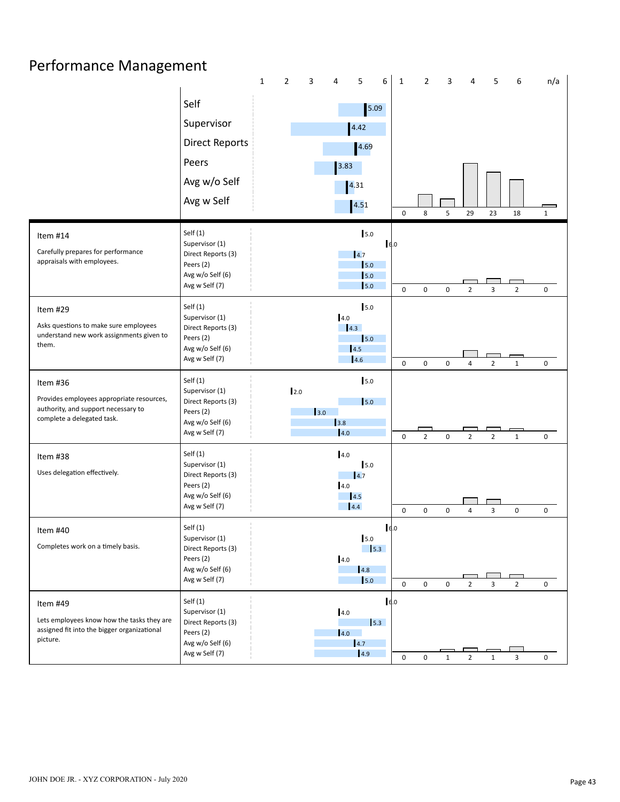#### Performance Management

|                                                                                                                            |                                                                                                       | $\mathbf 1$ | $\mathbf{2}$ | 3   | 4           | 5                                                              | 6                     | $\mathbf{1}$ | $\mathbf{2}$   | 3            | 4              | 5              | 6              | n/a                 |
|----------------------------------------------------------------------------------------------------------------------------|-------------------------------------------------------------------------------------------------------|-------------|--------------|-----|-------------|----------------------------------------------------------------|-----------------------|--------------|----------------|--------------|----------------|----------------|----------------|---------------------|
|                                                                                                                            | Self<br>Supervisor                                                                                    |             |              |     |             | 5.09<br>4.42                                                   |                       |              |                |              |                |                |                |                     |
|                                                                                                                            | <b>Direct Reports</b>                                                                                 |             |              |     |             | 4.69                                                           |                       |              |                |              |                |                |                |                     |
|                                                                                                                            | Peers                                                                                                 |             |              |     | 3.83        |                                                                |                       |              |                |              |                |                |                |                     |
|                                                                                                                            | Avg w/o Self                                                                                          |             |              |     |             |                                                                |                       |              |                |              |                |                |                |                     |
|                                                                                                                            | Avg w Self                                                                                            |             |              |     |             | 4.31                                                           |                       |              |                |              |                |                |                |                     |
|                                                                                                                            |                                                                                                       |             |              |     |             | 4.51                                                           |                       | $\mathsf 0$  | 8              | 5            | 29             | 23             | 18             | $\mathbf{1}$        |
| Item #14<br>Carefully prepares for performance<br>appraisals with employees.                                               | Self $(1)$<br>Supervisor (1)<br>Direct Reports (3)<br>Peers (2)<br>Avg w/o Self (6)<br>Avg w Self (7) |             |              |     |             | 5.0<br>4.7<br>5.0<br>$\vert$ <sub>5.0</sub><br>5.0             | 6.0                   | $\mathbf 0$  | $\mathbf 0$    | 0            | $\overline{2}$ | 3              | $\overline{2}$ | 0                   |
| Item #29<br>Asks questions to make sure employees                                                                          | Self $(1)$<br>Supervisor (1)<br>Direct Reports (3)                                                    |             |              |     | 4.0         | 5.0<br>4.3                                                     |                       |              |                |              |                |                |                |                     |
| understand new work assignments given to<br>them.                                                                          | Peers (2)<br>Avg w/o Self (6)<br>Avg w Self (7)                                                       |             |              |     |             | 5.0<br>4.5<br>4.6                                              |                       | $\mathbf 0$  | $\mathbf 0$    | 0            | 4              | $\overline{2}$ | $\mathbf{1}$   | $\mathbf 0$         |
| Item #36<br>Provides employees appropriate resources,<br>authority, and support necessary to<br>complete a delegated task. | Self $(1)$<br>Supervisor (1)<br>Direct Reports (3)<br>Peers (2)<br>Avg w/o Self (6)<br>Avg w Self (7) |             | 2.0          | 3.0 | 3.8<br>4.0  | $5.0$<br>5.0                                                   |                       | $\pmb{0}$    | $\overline{2}$ | 0            | $\overline{2}$ | $\overline{2}$ | $\mathbf{1}$   | $\mathbf 0$         |
| Item #38<br>Uses delegation effectively.                                                                                   | Self $(1)$<br>Supervisor (1)<br>Direct Reports (3)<br>Peers (2)<br>Avg w/o Self (6)<br>Avg w Self (7) |             |              |     | 4.0<br>4.0  | 5.0<br>4.7<br>4.5<br>4.4                                       |                       | $\mathsf 0$  | $\pmb{0}$      | 0            | 4              | 3              | $\mathsf 0$    | 0                   |
| Item #40<br>Completes work on a timely basis.                                                                              | Self $(1)$<br>Supervisor (1)<br>Direct Reports (3)<br>Peers (2)<br>Avg w/o Self (6)<br>Avg w Self (7) |             |              |     | 4.0         | 5.0<br>$\vert$ <sub>5.3</sub><br>4.8<br>$\vert$ <sub>5.0</sub> | $\vert$ $\epsilon$ .0 | $\mathsf 0$  | 0              | 0            | $\overline{2}$ | 3              | $\overline{2}$ | 0                   |
| Item #49<br>Lets employees know how the tasks they are<br>assigned fit into the bigger organizational<br>picture.          | Self $(1)$<br>Supervisor (1)<br>Direct Reports (3)<br>Peers (2)<br>Avg w/o Self (6)<br>Avg w Self (7) |             |              |     | 4.0<br> 4.0 | $\vert$ 5.3<br>$\vert 4.7 \vert$<br> 4.9                       | 6.0                   | $\mathsf 0$  | $\mathbf 0$    | $\mathbf{1}$ | $\overline{2}$ | $\mathbf{1}$   | $\overline{3}$ | $\mathsf{O}\xspace$ |
|                                                                                                                            |                                                                                                       |             |              |     |             |                                                                |                       |              |                |              |                |                |                |                     |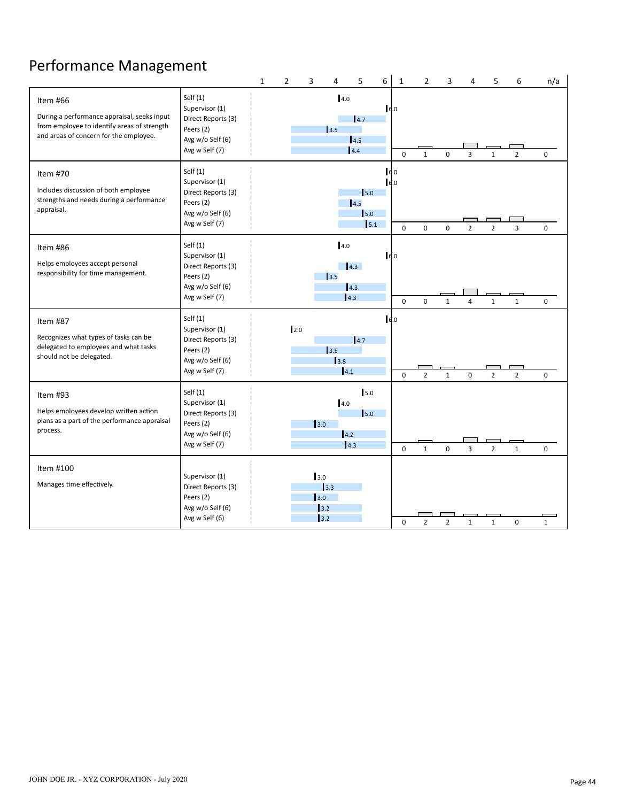#### Performance Management

|                                                                                                                                                  |                                                                                                       | $\mathbf{1}$ | $\overline{2}$ | 3   | 4                         | 5                                 | 6                | $\mathbf{1}$           | $\overline{2}$ | 3              | 4              | 5              | 6              | n/a          |
|--------------------------------------------------------------------------------------------------------------------------------------------------|-------------------------------------------------------------------------------------------------------|--------------|----------------|-----|---------------------------|-----------------------------------|------------------|------------------------|----------------|----------------|----------------|----------------|----------------|--------------|
| Item #66<br>During a performance appraisal, seeks input<br>from employee to identify areas of strength<br>and areas of concern for the employee. | Self $(1)$<br>Supervisor (1)<br>Direct Reports (3)<br>Peers (2)<br>Avg w/o Self (6)<br>Avg w Self (7) |              |                |     | 4.0<br>3.5                | 14.7<br>14.5<br>4.4               | 16.0             | $\Omega$               | $\mathbf{1}$   | $\mathbf 0$    | $\overline{3}$ | $\mathbf{1}$   | $\overline{2}$ | $\mathbf 0$  |
| Item #70<br>Includes discussion of both employee<br>strengths and needs during a performance<br>appraisal.                                       | Self $(1)$<br>Supervisor (1)<br>Direct Reports (3)<br>Peers (2)<br>Avg w/o Self (6)<br>Avg w Self (7) |              |                |     |                           | 5.0<br>14.5<br>5.0<br>5.1         |                  | 6.0<br>6.0<br>$\Omega$ | $\Omega$       | $\Omega$       | $\overline{2}$ | $\overline{2}$ | 3              | $\mathbf 0$  |
| Item #86<br>Helps employees accept personal<br>responsibility for time management.                                                               | Self $(1)$<br>Supervisor (1)<br>Direct Reports (3)<br>Peers (2)<br>Avg w/o Self (6)<br>Avg w Self (7) |              |                |     | 4.0<br>13.5               | 4.3<br>4.3<br>4.3                 | 6.0              | 0                      | $\Omega$       | $\mathbf{1}$   | 4              | $\mathbf{1}$   | $\mathbf{1}$   | $\mathbf 0$  |
| Item #87<br>Recognizes what types of tasks can be<br>delegated to employees and what tasks<br>should not be delegated.                           | Self $(1)$<br>Supervisor (1)<br>Direct Reports (3)<br>Peers (2)<br>Avg w/o Self (6)<br>Avg w Self (7) |              |                | 2.0 | 13.5<br>3.8<br> 4.1       | 4.7                               | $\mathsf{Id}$ .0 | $\mathbf 0$            | $\overline{2}$ | $\mathbf 1$    | 0              | $\overline{2}$ | $\overline{2}$ | $\mathbf 0$  |
| Item #93<br>Helps employees develop written action<br>plans as a part of the performance appraisal<br>process.                                   | Self $(1)$<br>Supervisor (1)<br>Direct Reports (3)<br>Peers (2)<br>Avg w/o Self (6)<br>Avg w Self (7) |              |                | 3.0 | 4.0<br>4.2                | 5.0<br>$\mathsf{I}_{5.0}$<br> 4.3 |                  | $\mathbf 0$            | $\mathbf{1}$   | 0              | 3              | $\overline{2}$ | $\mathbf{1}$   | $\mathbf 0$  |
| Item #100<br>Manages time effectively.                                                                                                           | Supervisor (1)<br>Direct Reports (3)<br>Peers (2)<br>Avg w/o Self (6)<br>Avg w Self (6)               |              |                | 3.0 | 13.3<br>3.0<br>3.2<br>3.2 |                                   |                  | $\pmb{0}$              | $\overline{2}$ | $\overline{2}$ | $\mathbf{1}$   | $\mathbf 1$    | 0              | $\mathbf{1}$ |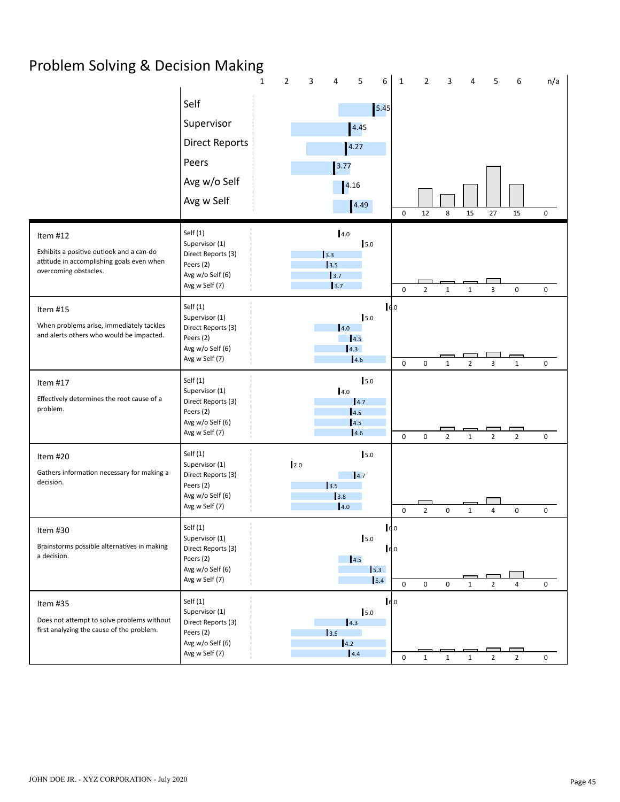### Problem Solving & Decision Making

|                                                                                                                            |                                                                                                       | $\mathbf{1}$ | $\overline{2}$ | 3 | 4                               | 5                                | 6                         | $\mathbf{1}$ | $\overline{2}$ | 3              | 4              | 5              | 6              | n/a         |
|----------------------------------------------------------------------------------------------------------------------------|-------------------------------------------------------------------------------------------------------|--------------|----------------|---|---------------------------------|----------------------------------|---------------------------|--------------|----------------|----------------|----------------|----------------|----------------|-------------|
|                                                                                                                            | Self<br>Supervisor<br><b>Direct Reports</b><br>Peers                                                  |              |                |   |                                 | 4.45<br>4.27                     | $5.45$                    |              |                |                |                |                |                |             |
|                                                                                                                            | Avg w/o Self                                                                                          |              |                |   | 3.77                            | 4.16                             |                           |              |                |                |                |                |                |             |
|                                                                                                                            | Avg w Self                                                                                            |              |                |   |                                 | 4.49                             |                           | $\mathbf 0$  | 12             | 8              | 15             | 27             | 15             | 0           |
| Item #12<br>Exhibits a positive outlook and a can-do<br>attitude in accomplishing goals even when<br>overcoming obstacles. | Self $(1)$<br>Supervisor (1)<br>Direct Reports (3)<br>Peers (2)<br>Avg w/o Self (6)<br>Avg w Self (7) |              |                |   | 4.0<br>3.3<br>3.5<br>3.7<br>3.7 | 5.0                              |                           | $\mathsf 0$  | $\overline{2}$ | $\mathbf 1$    | $\mathbf{1}$   | 3              | $\mathsf 0$    | $\mathbf 0$ |
| Item $#15$<br>When problems arise, immediately tackles<br>and alerts others who would be impacted.                         | Self $(1)$<br>Supervisor (1)<br>Direct Reports (3)<br>Peers (2)<br>Avg w/o Self (6)<br>Avg w Self (7) |              |                |   | 4.0                             | 5.0<br>4.5<br>4.3<br>4.6         | $I_{6.0}$                 | $\pmb{0}$    | $\mathbf 0$    | $\mathbf{1}$   | $\overline{2}$ | 3              | $\mathbf 1$    | $\mathbf 0$ |
| Item #17<br>Effectively determines the root cause of a<br>problem.                                                         | Self $(1)$<br>Supervisor (1)<br>Direct Reports (3)<br>Peers (2)<br>Avg w/o Self (6)<br>Avg w Self (7) |              |                |   | 4.0                             | 5.0<br> 4.7<br>4.5<br>4.5<br>4.6 |                           | $\mathsf 0$  | 0              | $\overline{2}$ | $\mathbf{1}$   | $\overline{2}$ | $\overline{2}$ | 0           |
| Item #20<br>Gathers information necessary for making a<br>decision.                                                        | Self $(1)$<br>Supervisor (1)<br>Direct Reports (3)<br>Peers (2)<br>Avg w/o Self (6)<br>Avg w Self (7) |              | 2.0            |   | 3.5<br>3.8<br>4.0               | 5.0<br> 4.7                      |                           | $\pmb{0}$    | $\overline{2}$ | 0              | $\mathbf{1}$   | 4              | $\mathsf 0$    | 0           |
| Item #30<br>Brainstorms possible alternatives in making<br>a decision.                                                     | Self(1)<br>Supervisor (1)<br>Direct Reports (3)<br>Peers (2)<br>Avg w/o Self (6)<br>Avg w Self (7)    |              |                |   |                                 | 5.0<br>4.5                       | 16.0<br>6.0<br>5.3<br>5.4 | $\mathsf 0$  | 0              | 0              | $\mathbf 1$    | $\overline{2}$ | 4              | 0           |
| Item #35<br>Does not attempt to solve problems without<br>first analyzing the cause of the problem.                        | Self $(1)$<br>Supervisor (1)<br>Direct Reports (3)<br>Peers (2)<br>Avg w/o Self (6)<br>Avg w Self (7) |              |                |   | 3.5<br>4.2                      | 5.0<br> 4.3 <br>4.4              | 6.0                       | $\mathsf 0$  | $\mathbf{1}$   | $\mathbf{1}$   | $\mathbf{1}$   | $\overline{2}$ | $\overline{2}$ | 0           |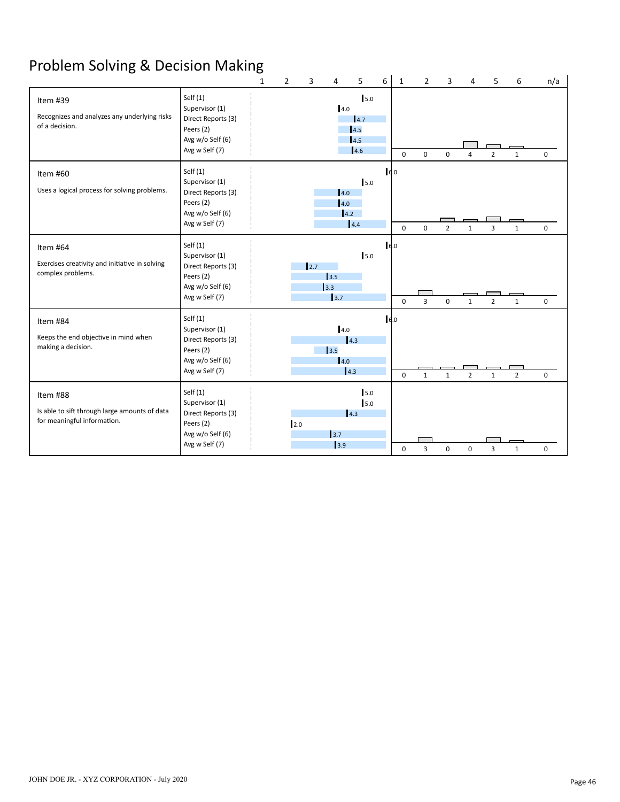## Problem Solving & Decision Making

|                                                                                          |                                                                                                       | $\mathbf{1}$ | $\overline{2}$ | 3    | 4                                                  | 5                                | 6    | 1           | 2              | 3              | Δ              | 5              | 6              | n/a         |
|------------------------------------------------------------------------------------------|-------------------------------------------------------------------------------------------------------|--------------|----------------|------|----------------------------------------------------|----------------------------------|------|-------------|----------------|----------------|----------------|----------------|----------------|-------------|
| Item #39<br>Recognizes and analyzes any underlying risks<br>of a decision.               | Self (1)<br>Supervisor (1)<br>Direct Reports (3)<br>Peers (2)<br>Avg w/o Self (6)<br>Avg w Self (7)   |              |                |      | 4.0                                                | 5.0<br>4.7<br>14.5<br>4.5<br>4.6 |      | $\mathbf 0$ | $\mathbf 0$    | 0              | $\overline{4}$ | $\overline{2}$ | $\mathbf{1}$   | 0           |
| Item #60<br>Uses a logical process for solving problems.                                 | Self $(1)$<br>Supervisor (1)<br>Direct Reports (3)<br>Peers (2)<br>Avg w/o Self (6)<br>Avg w Self (7) |              |                |      | 14.0<br>$\vert 4.0 \vert$<br>4.2                   | 5.0<br>4.4                       | 6.0  | $\mathbf 0$ | $\mathbf 0$    | $\overline{2}$ | $\mathbf{1}$   | $\overline{3}$ | $\mathbf{1}$   | 0           |
| Item #64<br>Exercises creativity and initiative in solving<br>complex problems.          | Self $(1)$<br>Supervisor (1)<br>Direct Reports (3)<br>Peers (2)<br>Avg w/o Self (6)<br>Avg w Self (7) |              |                | 12.7 | 13.5<br>3.3<br>3.7                                 | 5.0                              | 6.0  | $\Omega$    | $\overline{3}$ | $\mathbf 0$    | $\mathbf{1}$   | $\overline{2}$ | $\mathbf{1}$   | 0           |
| Item #84<br>Keeps the end objective in mind when<br>making a decision.                   | Self $(1)$<br>Supervisor (1)<br>Direct Reports (3)<br>Peers (2)<br>Avg w/o Self (6)<br>Avg w Self (7) |              |                |      | 4.0<br>$\vert$ 3.5<br>4.0<br>$\vert 4.3 \vert$     | 4.3                              | 16.0 | $\Omega$    | $\mathbf{1}$   | $\mathbf{1}$   | $\overline{2}$ | $\mathbf{1}$   | $\overline{2}$ | 0           |
| Item #88<br>Is able to sift through large amounts of data<br>for meaningful information. | Self $(1)$<br>Supervisor (1)<br>Direct Reports (3)<br>Peers (2)<br>Avg w/o Self (6)<br>Avg w Self (7) |              | 12.0           |      | $\begin{array}{c} \boxed{3.7} \end{array}$<br>13.9 | 5.0<br>5.0<br>$\vert$ 4.3        |      | $\mathbf 0$ | $\overline{3}$ | $\mathbf 0$    | $\pmb{0}$      | 3              | $\mathbf{1}$   | $\mathbf 0$ |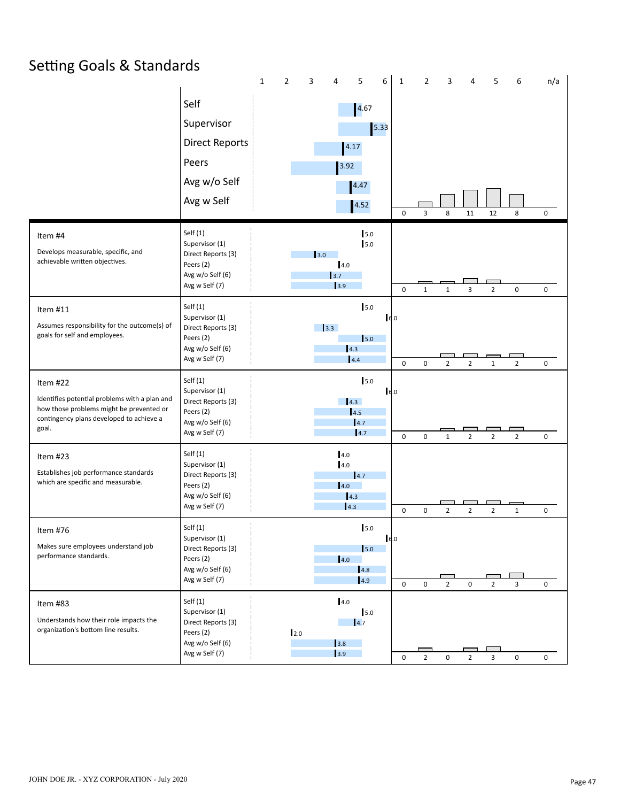### Setting Goals & Standards

|                                                                                                                                                            |                                                                                                       | $\mathbf 1$ | $\overline{2}$ | 3   | $\overline{4}$                    | 5                                | 6    | $\mathbf{1}$ | $\overline{2}$ | 3                   | 4              | 5              | 6              | n/a       |
|------------------------------------------------------------------------------------------------------------------------------------------------------------|-------------------------------------------------------------------------------------------------------|-------------|----------------|-----|-----------------------------------|----------------------------------|------|--------------|----------------|---------------------|----------------|----------------|----------------|-----------|
|                                                                                                                                                            | Self<br>Supervisor<br><b>Direct Reports</b><br>Peers<br>Avg w/o Self<br>Avg w Self                    |             |                |     | 4.17<br>3.92                      | 4.67<br>4.47<br>4.52             | 5.33 | $\mathsf 0$  | 3              | 8                   | 11             | 12             | 8              | 0         |
| Item #4<br>Develops measurable, specific, and<br>achievable written objectives.                                                                            | Self $(1)$<br>Supervisor (1)<br>Direct Reports (3)<br>Peers (2)<br>Avg w/o Self (6)<br>Avg w Self (7) |             |                | 3.0 | 4.0<br>3.7<br>3.9                 | 5.0<br>5.0                       |      | $\mathbf 0$  | $\mathbf{1}$   | $\mathbf{1}$        | 3              | $\overline{2}$ | $\mathsf 0$    | 0         |
| Item #11<br>Assumes responsibility for the outcome(s) of<br>goals for self and employees.                                                                  | Self $(1)$<br>Supervisor (1)<br>Direct Reports (3)<br>Peers (2)<br>Avg w/o Self (6)<br>Avg w Self (7) |             |                |     | 3.3<br> 4.3                       | 5.0<br>5.0<br>4.4                | 16.0 | $\mathbf 0$  | $\mathbf 0$    | $\overline{2}$      | $\overline{2}$ | $\mathbf{1}$   | $\overline{2}$ | $\pmb{0}$ |
| Item #22<br>Identifies potential problems with a plan and<br>how those problems might be prevented or<br>contingency plans developed to achieve a<br>goal. | Self $(1)$<br>Supervisor (1)<br>Direct Reports (3)<br>Peers (2)<br>Avg w/o Self (6)<br>Avg w Self (7) |             |                |     |                                   | 5.0<br>4.3<br>14.5<br>4.7<br>4.7 | 16.0 | $\pmb{0}$    | $\mathbf 0$    | $\mathbf{1}$        | $\overline{2}$ | $\overline{2}$ | $\overline{2}$ | 0         |
| Item #23<br>Establishes job performance standards<br>which are specific and measurable.                                                                    | Self (1)<br>Supervisor (1)<br>Direct Reports (3)<br>Peers (2)<br>Avg w/o Self (6)<br>Avg w Self (7)   |             |                |     | 4.0<br>4.0<br> 4.0 <br>4.3<br>4.3 | 4.7                              |      | $\pmb{0}$    | $\mathbf 0$    | $\overline{2}$      | $\overline{2}$ | $\overline{2}$ | $\mathbf{1}$   | 0         |
| Item #76<br>Makes sure employees understand job<br>performance standards.                                                                                  | Self (1)<br>Supervisor (1)<br>Direct Reports (3)<br>Peers (2)<br>Avg w/o Self (6)<br>Avg w Self (7)   |             |                |     | 4.0                               | 5.0<br>5.0<br>4.8<br>4.9         | 16.0 | $\mathbf 0$  | 0              | $\overline{2}$      | 0              | $\overline{2}$ | 3              | 0         |
| Item #83<br>Understands how their role impacts the<br>organization's bottom line results.                                                                  | Self $(1)$<br>Supervisor (1)<br>Direct Reports (3)<br>Peers (2)<br>Avg w/o Self (6)<br>Avg w Self (7) |             | 2.0            |     | 4.0<br>3.8<br>3.9                 | $5.0$<br>$\vert 4.7$             |      | $\mathbf 0$  | $\overline{2}$ | $\mathsf{O}\xspace$ | $\overline{2}$ | $\mathbf{3}$   | $\pmb{0}$      | 0         |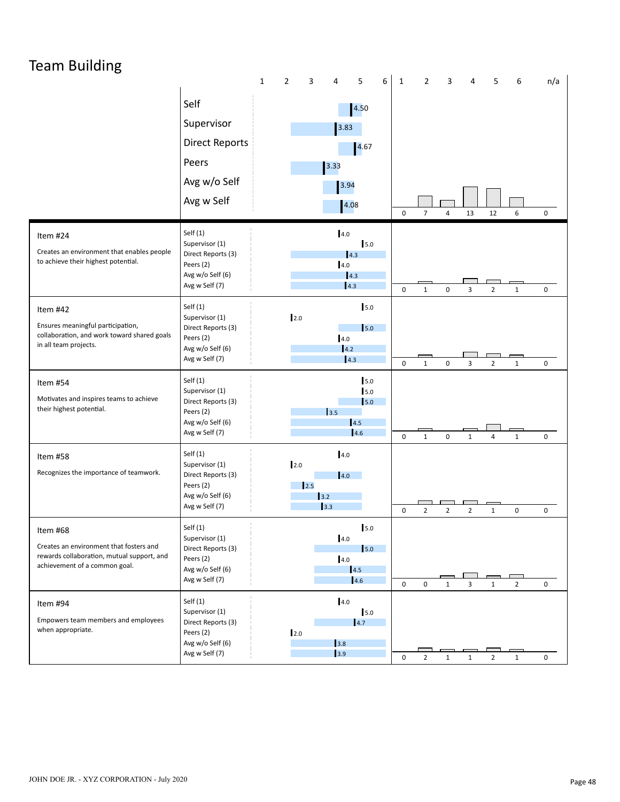### Team Building

|                                                                                                                                    |                                                                                                       | $\mathbf{1}$ | $\overline{2}$ | 3<br>4             | 5                                         | 6 | $\mathbf{1}$             | $\overline{2}$               | 3              | 4              | 5                                | 6                            | n/a                 |
|------------------------------------------------------------------------------------------------------------------------------------|-------------------------------------------------------------------------------------------------------|--------------|----------------|--------------------|-------------------------------------------|---|--------------------------|------------------------------|----------------|----------------|----------------------------------|------------------------------|---------------------|
|                                                                                                                                    | Self<br>Supervisor<br><b>Direct Reports</b><br>Peers<br>Avg w/o Self<br>Avg w Self                    |              |                | 3.33               | 4.50<br>3.83<br>4.67<br>3.94<br>4.08      |   | 0                        | $\boldsymbol{7}$             | 4              | 13             | 12                               | 6                            | 0                   |
| Item #24<br>Creates an environment that enables people<br>to achieve their highest potential.                                      | Self $(1)$<br>Supervisor (1)<br>Direct Reports (3)<br>Peers (2)<br>Avg w/o Self (6)<br>Avg w Self (7) |              |                |                    | 4.0<br>5.0<br>4.3<br>4.0<br>4.3<br>4.3    |   |                          |                              |                |                |                                  |                              |                     |
| Item #42<br>Ensures meaningful participation,<br>collaboration, and work toward shared goals<br>in all team projects.              | Self $(1)$<br>Supervisor (1)<br>Direct Reports (3)<br>Peers (2)<br>Avg w/o Self (6)<br>Avg w Self (7) |              | 2.0            |                    | 5.0<br>$\vert$ 5.0<br>4.0<br>14.2<br> 4.3 |   | $\pmb{0}$<br>$\mathbf 0$ | $\mathbf{1}$<br>$\mathbf{1}$ | 0<br>0         | 3<br>3         | $\overline{2}$<br>$\overline{2}$ | $\mathbf{1}$<br>$\mathbf{1}$ | 0<br>$\mathbf 0$    |
| Item #54<br>Motivates and inspires teams to achieve<br>their highest potential.                                                    | Self $(1)$<br>Supervisor (1)<br>Direct Reports (3)<br>Peers (2)<br>Avg w/o Self (6)<br>Avg w Self (7) |              |                | 3.5                | 5.0<br>5.0<br>5.0<br>4.5<br>4.6           |   | $\pmb{0}$                | $\mathbf{1}$                 | 0              | $\mathbf{1}$   | $\overline{4}$                   | $\mathbf 1$                  | 0                   |
| Item #58<br>Recognizes the importance of teamwork.                                                                                 | Self $(1)$<br>Supervisor (1)<br>Direct Reports (3)<br>Peers (2)<br>Avg w/o Self (6)<br>Avg w Self (7) |              | 2.0            | 12.5<br>3.2<br>3.3 | 4.0<br> 4.0                               |   | 0                        | $\overline{2}$               | $\overline{2}$ | $\overline{2}$ | $\mathbf{1}$                     | 0                            | 0                   |
| Item #68<br>Creates an environment that fosters and<br>rewards collaboration, mutual support, and<br>achievement of a common goal. | Self $(1)$<br>Supervisor (1)<br>Direct Reports (3)<br>Peers (2)<br>Avg w/o Self (6)<br>Avg w Self (7) |              |                |                    | 5.0<br>4.0<br>5.0<br>4.0<br>4.5<br>4.6    |   | $\mathsf 0$              | 0                            | $\mathbf{1}$   | 3              | $\mathbf{1}$                     | $\overline{2}$               | 0                   |
| Item #94<br>Empowers team members and employees<br>when appropriate.                                                               | Self $(1)$<br>Supervisor (1)<br>Direct Reports (3)<br>Peers (2)<br>Avg w/o Self (6)<br>Avg w Self (7) |              | 2.0            |                    | 4.0<br>5.0<br> 4.7<br>3.8<br>3.9          |   | $\mathbf 0$              | $\overline{2}$               | $\mathbf{1}$   | $\mathbf{1}$   | $\overline{2}$                   | $\mathbf 1$                  | $\mathsf{O}\xspace$ |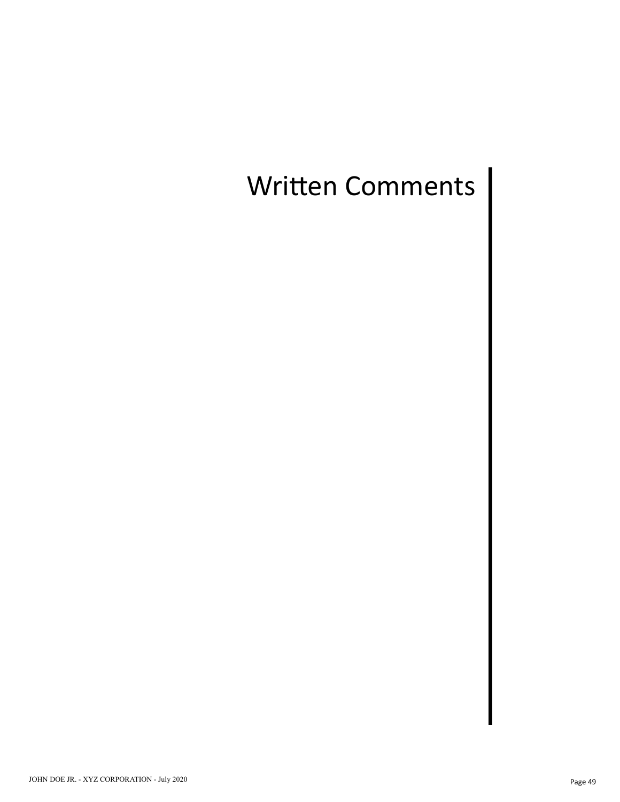## Written Comments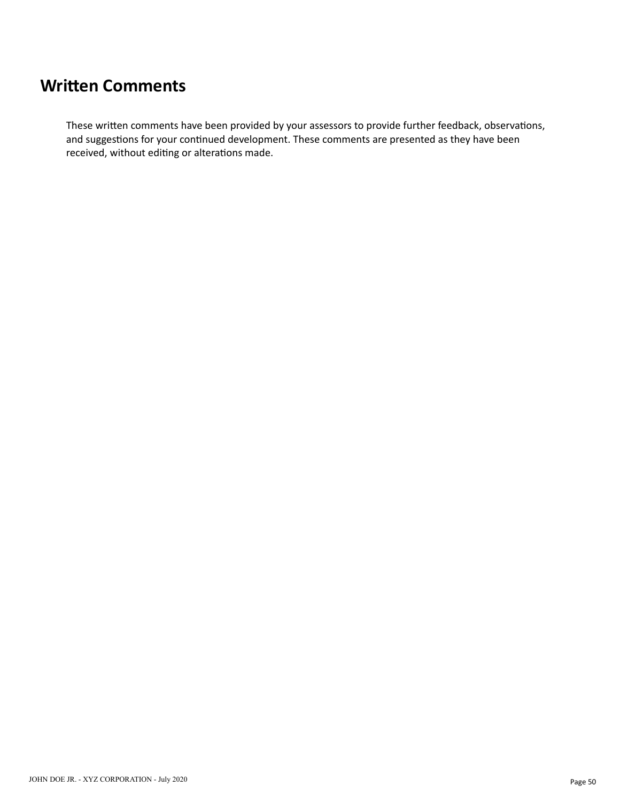#### **Written Comments**

These written comments have been provided by your assessors to provide further feedback, observations, and suggestions for your continued development. These comments are presented as they have been received, without editing or alterations made.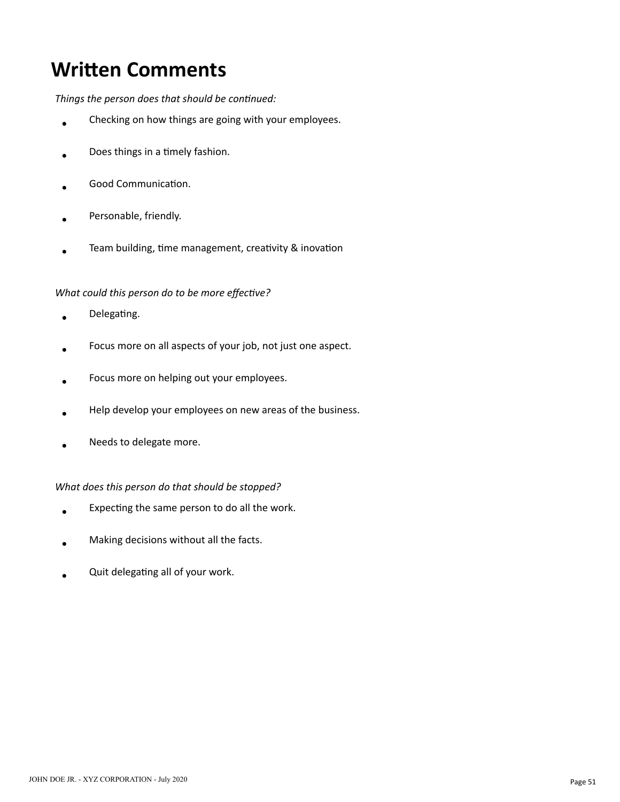## **Written Comments**

Things the person does that should be continued:

- Checking on how things are going with your employees.  $\bullet$
- Does things in a timely fashion.
- Good Communication.
- Personable, friendly.
- Team building, time management, creativity & inovation

#### *What could this person do to be more effective?*

- Delegating.  $\ddot{\phantom{a}}$
- Focus more on all aspects of your job, not just one aspect.
- Focus more on helping out your employees.
- Help develop your employees on new areas of the business.
- Needs to delegate more.

#### *What does this person do that should be stopped?*

- Expecting the same person to do all the work.  $\bullet$
- Making decisions without all the facts.
- Quit delegating all of your work.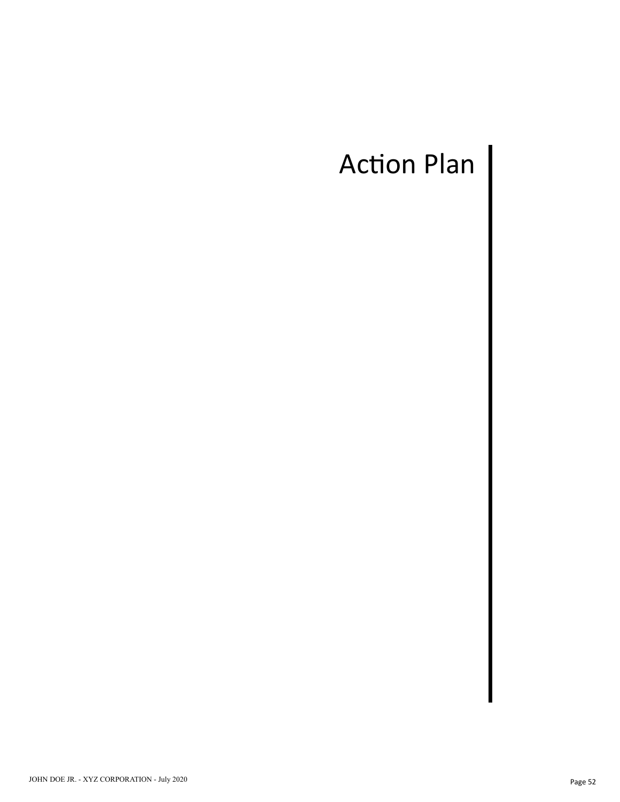# Action Plan |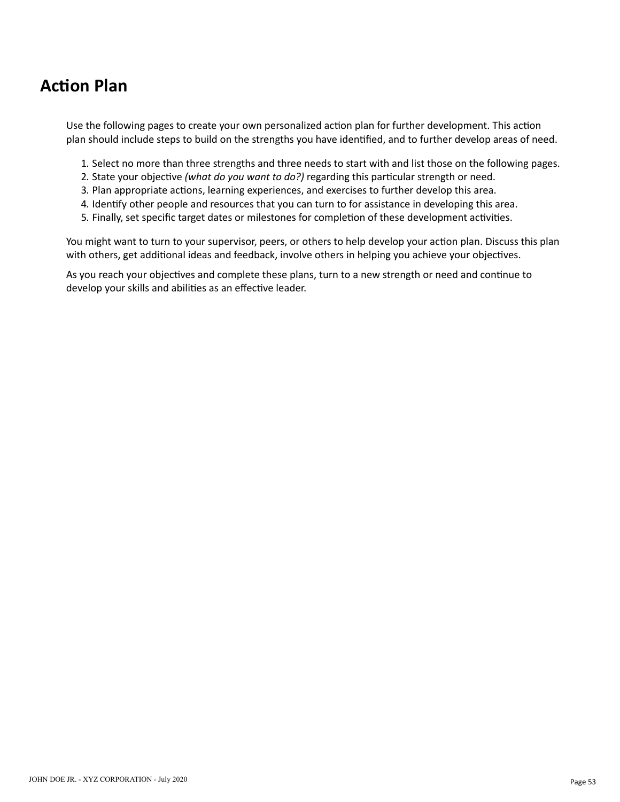#### **Action Plan**

Use the following pages to create your own personalized action plan for further development. This action plan should include steps to build on the strengths you have idenfied, and to further develop areas of need.

- 1. Select no more than three strengths and three needs to start with and list those on the following pages.
- 2. State your objective *(what do you want to do?)* regarding this particular strength or need.
- 3. Plan appropriate actions, learning experiences, and exercises to further develop this area.
- 4. Identify other people and resources that you can turn to for assistance in developing this area.
- 5. Finally, set specific target dates or milestones for completion of these development activities.

You might want to turn to your supervisor, peers, or others to help develop your action plan. Discuss this plan with others, get additional ideas and feedback, involve others in helping you achieve your objectives.

As you reach your objectives and complete these plans, turn to a new strength or need and continue to develop your skills and abilities as an effective leader.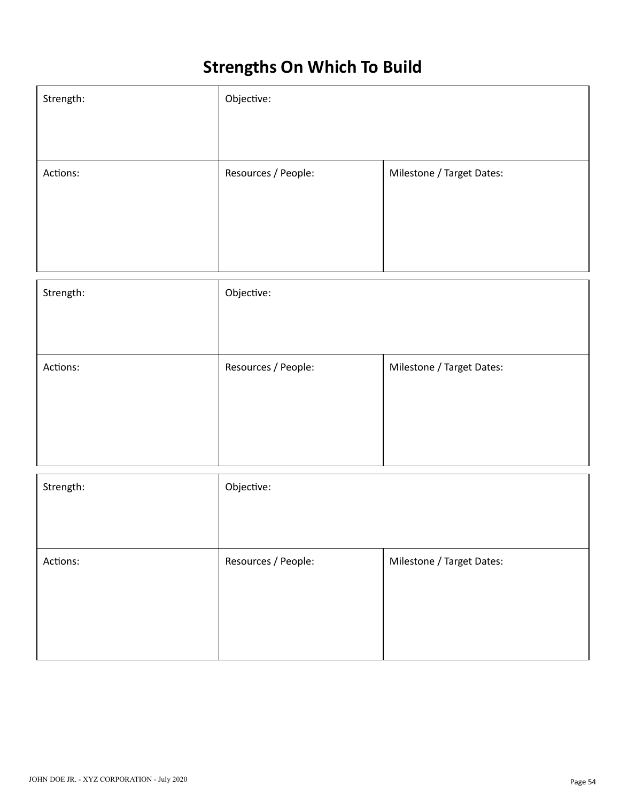## **Strengths On Which To Build**

| Strength: | Objective:          |                           |  |  |  |  |  |  |
|-----------|---------------------|---------------------------|--|--|--|--|--|--|
|           |                     |                           |  |  |  |  |  |  |
| Actions:  | Resources / People: | Milestone / Target Dates: |  |  |  |  |  |  |
|           |                     |                           |  |  |  |  |  |  |
|           |                     |                           |  |  |  |  |  |  |
| Strength: | Objective:          |                           |  |  |  |  |  |  |
|           |                     |                           |  |  |  |  |  |  |
| Actions:  | Resources / People: | Milestone / Target Dates: |  |  |  |  |  |  |
|           |                     |                           |  |  |  |  |  |  |
|           |                     |                           |  |  |  |  |  |  |
| Strength: | Objective:          |                           |  |  |  |  |  |  |
|           |                     |                           |  |  |  |  |  |  |
| Actions:  | Resources / People: | Milestone / Target Dates: |  |  |  |  |  |  |
|           |                     |                           |  |  |  |  |  |  |
|           |                     |                           |  |  |  |  |  |  |
|           |                     |                           |  |  |  |  |  |  |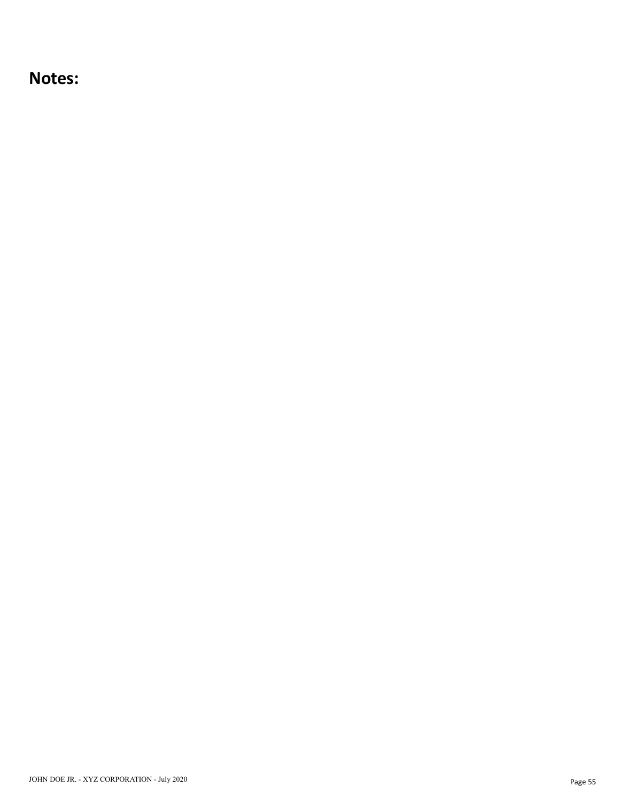**Notes:**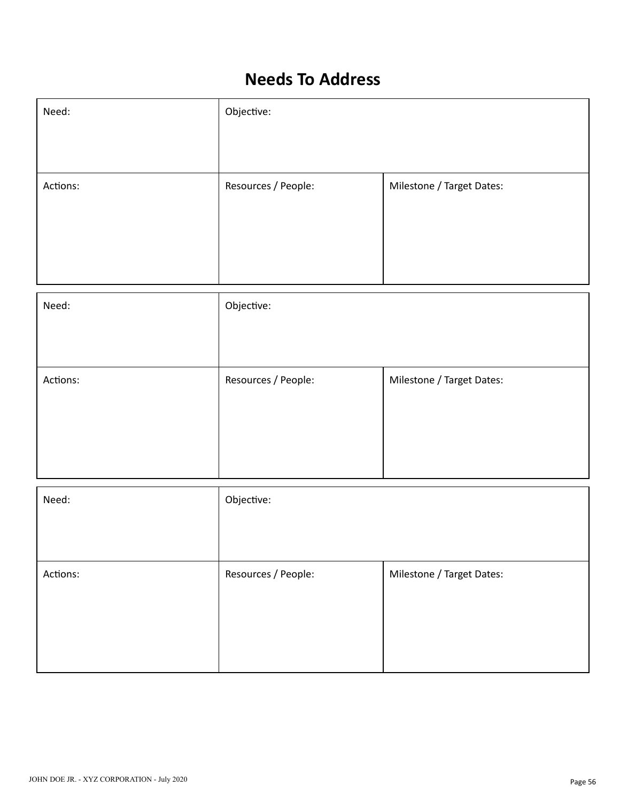#### **Needs To Address**

| Need:    | Objective:          |                           |  |  |  |  |  |
|----------|---------------------|---------------------------|--|--|--|--|--|
|          |                     |                           |  |  |  |  |  |
| Actions: | Resources / People: | Milestone / Target Dates: |  |  |  |  |  |
|          |                     |                           |  |  |  |  |  |
|          |                     |                           |  |  |  |  |  |
| Need:    | Objective:          |                           |  |  |  |  |  |
|          |                     |                           |  |  |  |  |  |
| Actions: | Resources / People: | Milestone / Target Dates: |  |  |  |  |  |
|          |                     |                           |  |  |  |  |  |
|          |                     |                           |  |  |  |  |  |
| Need:    | Objective:          |                           |  |  |  |  |  |
|          |                     |                           |  |  |  |  |  |
| Actions: | Resources / People: | Milestone / Target Dates: |  |  |  |  |  |
|          |                     |                           |  |  |  |  |  |
|          |                     |                           |  |  |  |  |  |